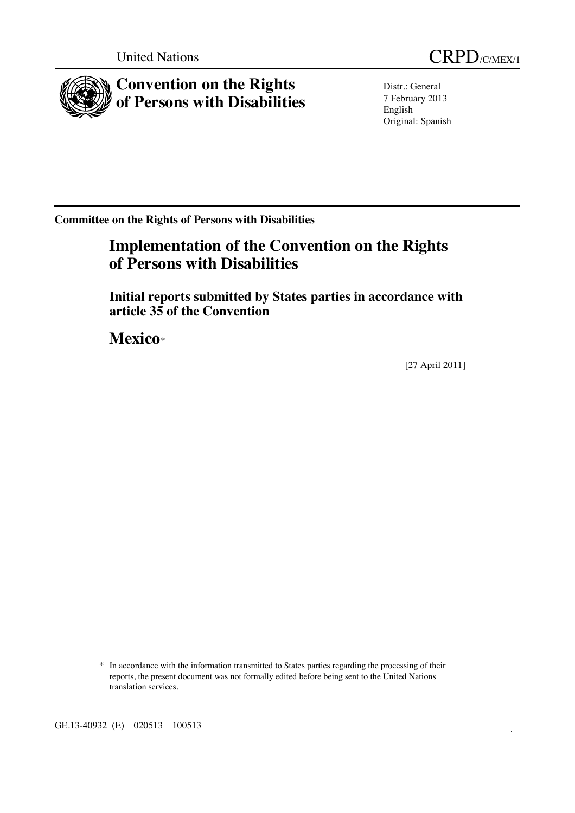

Distr.: General 7 February 2013 English Original: Spanish

**Committee on the Rights of Persons with Disabilities** 

# **Implementation of the Convention on the Rights of Persons with Disabilities**

 **Initial reports submitted by States parties in accordance with article 35 of the Convention** 

 **Mexico**\*

[27 April 2011]

GE.13-40932 (E) 020513 100513

<sup>\*</sup> In accordance with the information transmitted to States parties regarding the processing of their reports, the present document was not formally edited before being sent to the United Nations translation services.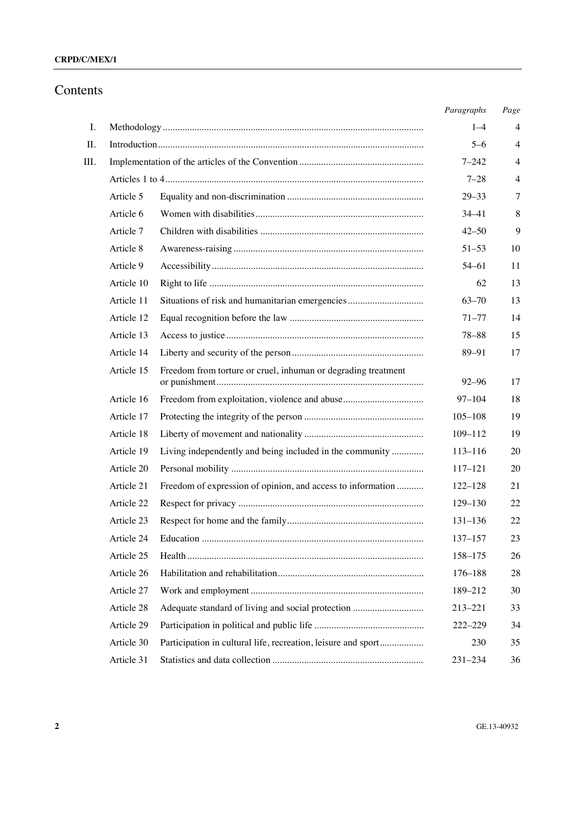#### **CRPD/C/MEX/1**

# Contents

|    |            |                                                               | Paragraphs  | Page           |
|----|------------|---------------------------------------------------------------|-------------|----------------|
| Ι. |            |                                                               | $1 - 4$     | 4              |
| Π. |            |                                                               | $5 - 6$     | 4              |
| Ш. |            |                                                               | $7 - 242$   | 4              |
|    |            |                                                               | $7 - 28$    | $\overline{4}$ |
|    | Article 5  |                                                               | $29 - 33$   | 7              |
|    | Article 6  |                                                               | $34 - 41$   | 8              |
|    | Article 7  |                                                               | $42 - 50$   | 9              |
|    | Article 8  |                                                               | $51 - 53$   | 10             |
|    | Article 9  |                                                               | $54 - 61$   | 11             |
|    | Article 10 |                                                               | 62          | 13             |
|    | Article 11 | Situations of risk and humanitarian emergencies               | $63 - 70$   | 13             |
|    | Article 12 |                                                               | $71 - 77$   | 14             |
|    | Article 13 |                                                               | $78 - 88$   | 15             |
|    | Article 14 |                                                               | 89-91       | 17             |
|    | Article 15 | Freedom from torture or cruel, inhuman or degrading treatment | $92 - 96$   | 17             |
|    | Article 16 |                                                               | $97 - 104$  | 18             |
|    | Article 17 |                                                               | $105 - 108$ | 19             |
|    | Article 18 |                                                               | 109-112     | 19             |
|    | Article 19 | Living independently and being included in the community      | $113 - 116$ | 20             |
|    | Article 20 |                                                               | 117-121     | 20             |
|    | Article 21 | Freedom of expression of opinion, and access to information   | $122 - 128$ | 21             |
|    | Article 22 |                                                               | 129-130     | 22             |
|    | Article 23 |                                                               | $131 - 136$ | 22             |
|    | Article 24 |                                                               | 137–157     | 23             |
|    | Article 25 |                                                               | 158-175     | 26             |
|    | Article 26 |                                                               | $176 - 188$ | 28             |
|    | Article 27 |                                                               | 189-212     | 30             |
|    | Article 28 | Adequate standard of living and social protection             | 213-221     | 33             |
|    | Article 29 |                                                               | 222-229     | 34             |
|    | Article 30 | Participation in cultural life, recreation, leisure and sport | 230         | 35             |
|    | Article 31 |                                                               | $231 - 234$ | 36             |
|    |            |                                                               |             |                |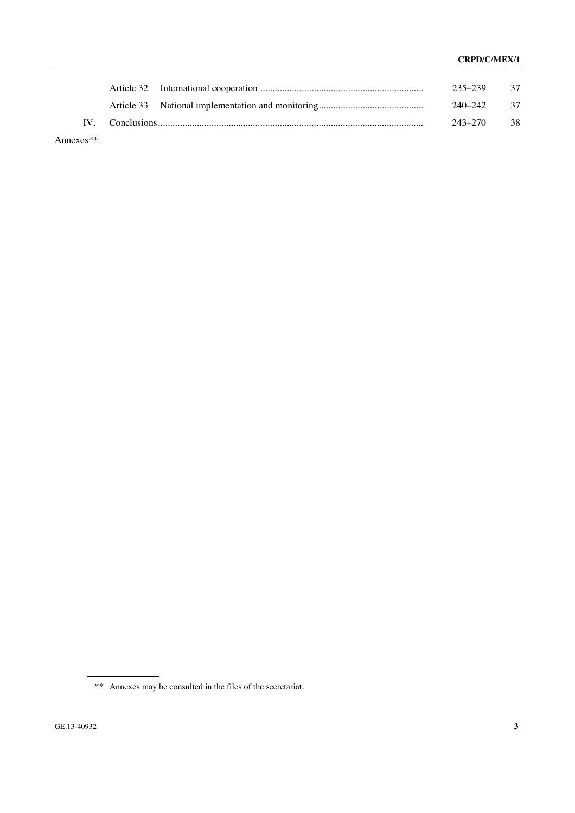|              |  | 235–239 37 |  |
|--------------|--|------------|--|
|              |  | 240–242 37 |  |
|              |  | 243-270 38 |  |
| Annexes $**$ |  |            |  |

\*\* Annexes may be consulted in the files of the secretariat.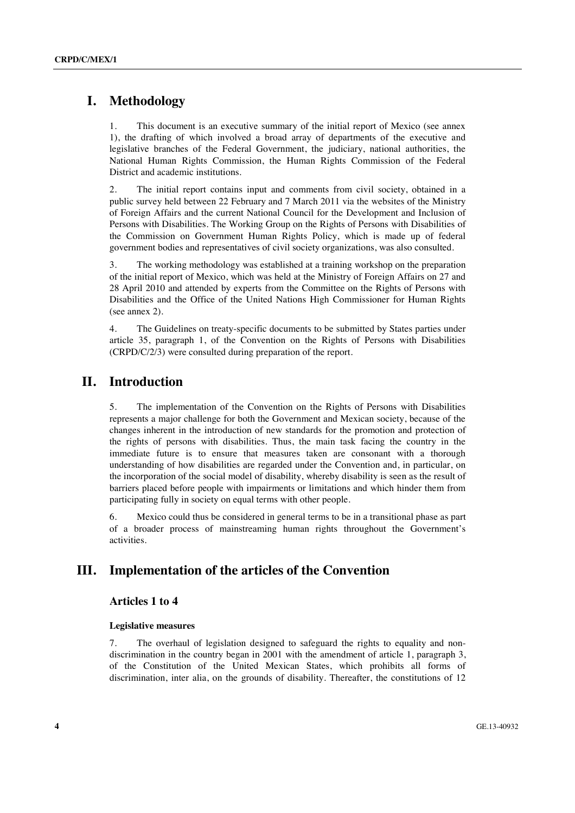# **I. Methodology**

1. This document is an executive summary of the initial report of Mexico (see annex 1), the drafting of which involved a broad array of departments of the executive and legislative branches of the Federal Government, the judiciary, national authorities, the National Human Rights Commission, the Human Rights Commission of the Federal District and academic institutions.

2. The initial report contains input and comments from civil society, obtained in a public survey held between 22 February and 7 March 2011 via the websites of the Ministry of Foreign Affairs and the current National Council for the Development and Inclusion of Persons with Disabilities. The Working Group on the Rights of Persons with Disabilities of the Commission on Government Human Rights Policy, which is made up of federal government bodies and representatives of civil society organizations, was also consulted.

3. The working methodology was established at a training workshop on the preparation of the initial report of Mexico, which was held at the Ministry of Foreign Affairs on 27 and 28 April 2010 and attended by experts from the Committee on the Rights of Persons with Disabilities and the Office of the United Nations High Commissioner for Human Rights (see annex 2).

4. The Guidelines on treaty-specific documents to be submitted by States parties under article 35, paragraph 1, of the Convention on the Rights of Persons with Disabilities (CRPD/C/2/3) were consulted during preparation of the report.

### **II. Introduction**

5. The implementation of the Convention on the Rights of Persons with Disabilities represents a major challenge for both the Government and Mexican society, because of the changes inherent in the introduction of new standards for the promotion and protection of the rights of persons with disabilities. Thus, the main task facing the country in the immediate future is to ensure that measures taken are consonant with a thorough understanding of how disabilities are regarded under the Convention and, in particular, on the incorporation of the social model of disability, whereby disability is seen as the result of barriers placed before people with impairments or limitations and which hinder them from participating fully in society on equal terms with other people.

6. Mexico could thus be considered in general terms to be in a transitional phase as part of a broader process of mainstreaming human rights throughout the Government's activities.

# **III. Implementation of the articles of the Convention**

#### **Articles 1 to 4**

#### **Legislative measures**

7. The overhaul of legislation designed to safeguard the rights to equality and nondiscrimination in the country began in 2001 with the amendment of article 1, paragraph 3, of the Constitution of the United Mexican States, which prohibits all forms of discrimination, inter alia, on the grounds of disability. Thereafter, the constitutions of 12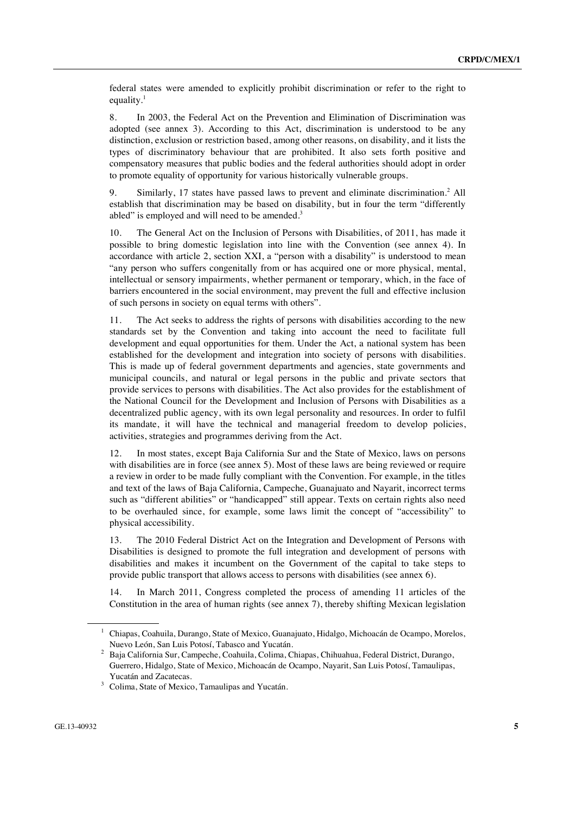federal states were amended to explicitly prohibit discrimination or refer to the right to equality. $<sup>1</sup>$ </sup>

8. In 2003, the Federal Act on the Prevention and Elimination of Discrimination was adopted (see annex 3). According to this Act, discrimination is understood to be any distinction, exclusion or restriction based, among other reasons, on disability, and it lists the types of discriminatory behaviour that are prohibited. It also sets forth positive and compensatory measures that public bodies and the federal authorities should adopt in order to promote equality of opportunity for various historically vulnerable groups.

9. Similarly, 17 states have passed laws to prevent and eliminate discrimination.<sup>2</sup> All establish that discrimination may be based on disability, but in four the term "differently abled" is employed and will need to be amended.<sup>3</sup>

10. The General Act on the Inclusion of Persons with Disabilities, of 2011, has made it possible to bring domestic legislation into line with the Convention (see annex 4). In accordance with article 2, section XXI, a "person with a disability" is understood to mean "any person who suffers congenitally from or has acquired one or more physical, mental, intellectual or sensory impairments, whether permanent or temporary, which, in the face of barriers encountered in the social environment, may prevent the full and effective inclusion of such persons in society on equal terms with others".

11. The Act seeks to address the rights of persons with disabilities according to the new standards set by the Convention and taking into account the need to facilitate full development and equal opportunities for them. Under the Act, a national system has been established for the development and integration into society of persons with disabilities. This is made up of federal government departments and agencies, state governments and municipal councils, and natural or legal persons in the public and private sectors that provide services to persons with disabilities. The Act also provides for the establishment of the National Council for the Development and Inclusion of Persons with Disabilities as a decentralized public agency, with its own legal personality and resources. In order to fulfil its mandate, it will have the technical and managerial freedom to develop policies, activities, strategies and programmes deriving from the Act.

12. In most states, except Baja California Sur and the State of Mexico, laws on persons with disabilities are in force (see annex 5). Most of these laws are being reviewed or require a review in order to be made fully compliant with the Convention. For example, in the titles and text of the laws of Baja California, Campeche, Guanajuato and Nayarit, incorrect terms such as "different abilities" or "handicapped" still appear. Texts on certain rights also need to be overhauled since, for example, some laws limit the concept of "accessibility" to physical accessibility.

13. The 2010 Federal District Act on the Integration and Development of Persons with Disabilities is designed to promote the full integration and development of persons with disabilities and makes it incumbent on the Government of the capital to take steps to provide public transport that allows access to persons with disabilities (see annex 6).

14. In March 2011, Congress completed the process of amending 11 articles of the Constitution in the area of human rights (see annex 7), thereby shifting Mexican legislation

<sup>1</sup> Chiapas, Coahuila, Durango, State of Mexico, Guanajuato, Hidalgo, Michoacán de Ocampo, Morelos, Nuevo León, San Luis Potosí, Tabasco and Yucatán. 2

Baja California Sur, Campeche, Coahuila, Colima, Chiapas, Chihuahua, Federal District, Durango, Guerrero, Hidalgo, State of Mexico, Michoacán de Ocampo, Nayarit, San Luis Potosí, Tamaulipas, Yucatán and Zacatecas.

Colima, State of Mexico, Tamaulipas and Yucatán.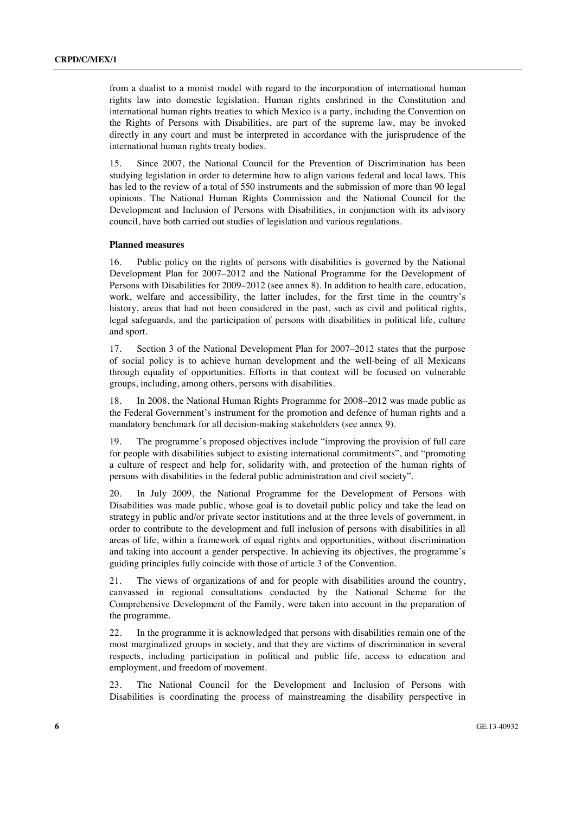from a dualist to a monist model with regard to the incorporation of international human rights law into domestic legislation. Human rights enshrined in the Constitution and international human rights treaties to which Mexico is a party, including the Convention on the Rights of Persons with Disabilities, are part of the supreme law, may be invoked directly in any court and must be interpreted in accordance with the jurisprudence of the international human rights treaty bodies.

15. Since 2007, the National Council for the Prevention of Discrimination has been studying legislation in order to determine how to align various federal and local laws. This has led to the review of a total of 550 instruments and the submission of more than 90 legal opinions. The National Human Rights Commission and the National Council for the Development and Inclusion of Persons with Disabilities, in conjunction with its advisory council, have both carried out studies of legislation and various regulations.

#### **Planned measures**

16. Public policy on the rights of persons with disabilities is governed by the National Development Plan for 2007–2012 and the National Programme for the Development of Persons with Disabilities for 2009–2012 (see annex 8). In addition to health care, education, work, welfare and accessibility, the latter includes, for the first time in the country's history, areas that had not been considered in the past, such as civil and political rights, legal safeguards, and the participation of persons with disabilities in political life, culture and sport.

17. Section 3 of the National Development Plan for 2007–2012 states that the purpose of social policy is to achieve human development and the well-being of all Mexicans through equality of opportunities. Efforts in that context will be focused on vulnerable groups, including, among others, persons with disabilities.

18. In 2008, the National Human Rights Programme for 2008–2012 was made public as the Federal Government's instrument for the promotion and defence of human rights and a mandatory benchmark for all decision-making stakeholders (see annex 9).

19. The programme's proposed objectives include "improving the provision of full care for people with disabilities subject to existing international commitments", and "promoting a culture of respect and help for, solidarity with, and protection of the human rights of persons with disabilities in the federal public administration and civil society".

20. In July 2009, the National Programme for the Development of Persons with Disabilities was made public, whose goal is to dovetail public policy and take the lead on strategy in public and/or private sector institutions and at the three levels of government, in order to contribute to the development and full inclusion of persons with disabilities in all areas of life, within a framework of equal rights and opportunities, without discrimination and taking into account a gender perspective. In achieving its objectives, the programme's guiding principles fully coincide with those of article 3 of the Convention.

21. The views of organizations of and for people with disabilities around the country, canvassed in regional consultations conducted by the National Scheme for the Comprehensive Development of the Family, were taken into account in the preparation of the programme.

22. In the programme it is acknowledged that persons with disabilities remain one of the most marginalized groups in society, and that they are victims of discrimination in several respects, including participation in political and public life, access to education and employment, and freedom of movement.

23. The National Council for the Development and Inclusion of Persons with Disabilities is coordinating the process of mainstreaming the disability perspective in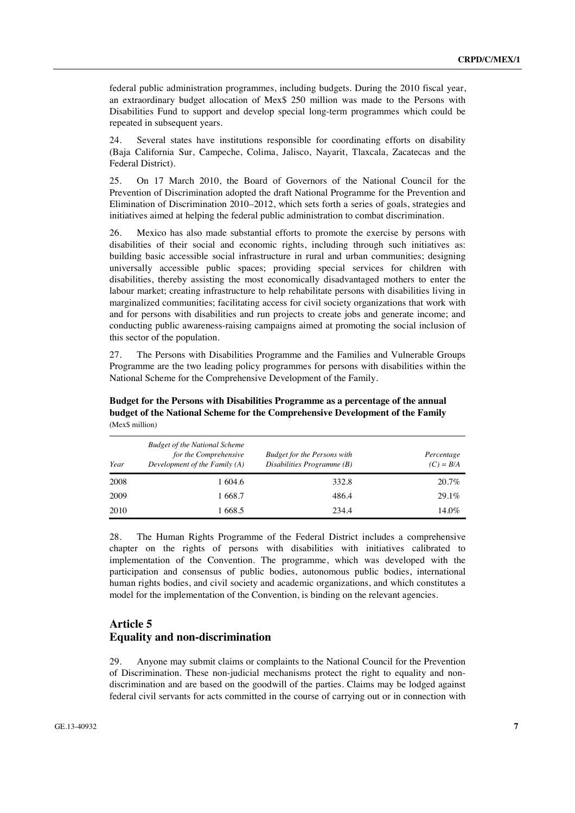federal public administration programmes, including budgets. During the 2010 fiscal year, an extraordinary budget allocation of Mex\$ 250 million was made to the Persons with Disabilities Fund to support and develop special long-term programmes which could be repeated in subsequent years.

24. Several states have institutions responsible for coordinating efforts on disability (Baja California Sur, Campeche, Colima, Jalisco, Nayarit, Tlaxcala, Zacatecas and the Federal District).

25. On 17 March 2010, the Board of Governors of the National Council for the Prevention of Discrimination adopted the draft National Programme for the Prevention and Elimination of Discrimination 2010–2012, which sets forth a series of goals, strategies and initiatives aimed at helping the federal public administration to combat discrimination.

26. Mexico has also made substantial efforts to promote the exercise by persons with disabilities of their social and economic rights, including through such initiatives as: building basic accessible social infrastructure in rural and urban communities; designing universally accessible public spaces; providing special services for children with disabilities, thereby assisting the most economically disadvantaged mothers to enter the labour market; creating infrastructure to help rehabilitate persons with disabilities living in marginalized communities; facilitating access for civil society organizations that work with and for persons with disabilities and run projects to create jobs and generate income; and conducting public awareness-raising campaigns aimed at promoting the social inclusion of this sector of the population.

27. The Persons with Disabilities Programme and the Families and Vulnerable Groups Programme are the two leading policy programmes for persons with disabilities within the National Scheme for the Comprehensive Development of the Family.

| Year | <b>Budget of the National Scheme</b><br>for the Comprehensive<br>Development of the Family (A) | <b>Budget for the Persons with</b><br>Disabilities Programme (B) | Percentage<br>$(C) = B/A$ |
|------|------------------------------------------------------------------------------------------------|------------------------------------------------------------------|---------------------------|
| 2008 | 1 604.6                                                                                        | 332.8                                                            | $20.7\%$                  |
| 2009 | 1 668.7                                                                                        | 486.4                                                            | $29.1\%$                  |
| 2010 | 1 668.5                                                                                        | 234.4                                                            | 14.0%                     |

 **Budget for the Persons with Disabilities Programme as a percentage of the annual budget of the National Scheme for the Comprehensive Development of the Family**  (Mex\$ million)

28. The Human Rights Programme of the Federal District includes a comprehensive chapter on the rights of persons with disabilities with initiatives calibrated to implementation of the Convention. The programme, which was developed with the participation and consensus of public bodies, autonomous public bodies, international human rights bodies, and civil society and academic organizations, and which constitutes a model for the implementation of the Convention, is binding on the relevant agencies.

#### **Article 5 Equality and non-discrimination**

29. Anyone may submit claims or complaints to the National Council for the Prevention of Discrimination. These non-judicial mechanisms protect the right to equality and nondiscrimination and are based on the goodwill of the parties. Claims may be lodged against federal civil servants for acts committed in the course of carrying out or in connection with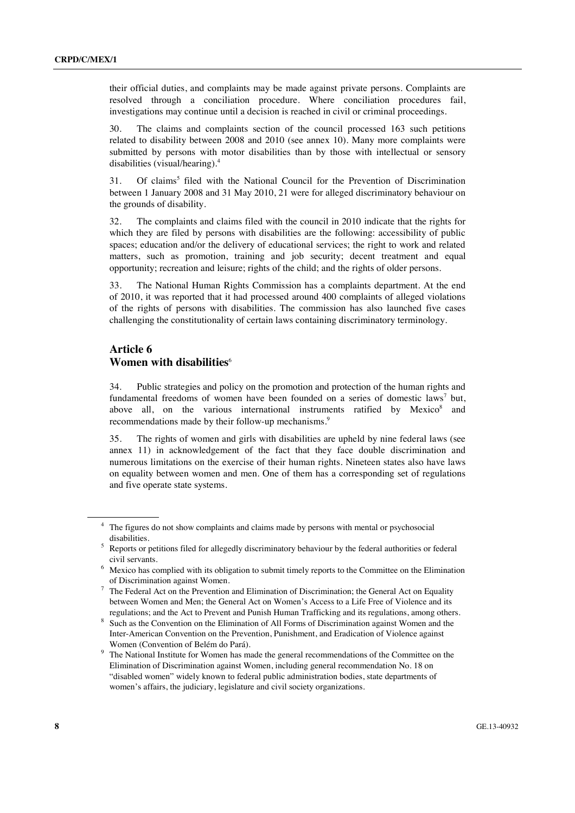their official duties, and complaints may be made against private persons. Complaints are resolved through a conciliation procedure. Where conciliation procedures fail, investigations may continue until a decision is reached in civil or criminal proceedings.

30. The claims and complaints section of the council processed 163 such petitions related to disability between 2008 and 2010 (see annex 10). Many more complaints were submitted by persons with motor disabilities than by those with intellectual or sensory disabilities (visual/hearing).4

31. Of claims<sup>5</sup> filed with the National Council for the Prevention of Discrimination between 1 January 2008 and 31 May 2010, 21 were for alleged discriminatory behaviour on the grounds of disability.

32. The complaints and claims filed with the council in 2010 indicate that the rights for which they are filed by persons with disabilities are the following: accessibility of public spaces; education and/or the delivery of educational services; the right to work and related matters, such as promotion, training and job security; decent treatment and equal opportunity; recreation and leisure; rights of the child; and the rights of older persons.

33. The National Human Rights Commission has a complaints department. At the end of 2010, it was reported that it had processed around 400 complaints of alleged violations of the rights of persons with disabilities. The commission has also launched five cases challenging the constitutionality of certain laws containing discriminatory terminology.

#### **Article 6 Women with disabilities**<sup>6</sup>

34. Public strategies and policy on the promotion and protection of the human rights and fundamental freedoms of women have been founded on a series of domestic laws<sup>7</sup> but, above all, on the various international instruments ratified by Mexico<sup>8</sup> and recommendations made by their follow-up mechanisms.<sup>9</sup>

35. The rights of women and girls with disabilities are upheld by nine federal laws (see annex 11) in acknowledgement of the fact that they face double discrimination and numerous limitations on the exercise of their human rights. Nineteen states also have laws on equality between women and men. One of them has a corresponding set of regulations and five operate state systems.

<sup>4</sup> The figures do not show complaints and claims made by persons with mental or psychosocial

disabilities. 5 Reports or petitions filed for allegedly discriminatory behaviour by the federal authorities or federal

civil servants. 6 Mexico has complied with its obligation to submit timely reports to the Committee on the Elimination

of Discrimination against Women.<br><sup>7</sup> The Federal Act on the Prevention and Elimination of Discrimination; the General Act on Equality between Women and Men; the General Act on Women's Access to a Life Free of Violence and its

regulations; and the Act to Prevent and Punish Human Trafficking and its regulations, among others. 8 Such as the Convention on the Elimination of All Forms of Discrimination against Women and the Inter-American Convention on the Prevention, Punishment, and Eradication of Violence against Women (Convention of Belém do Pará).<br><sup>9</sup> The National Institute for Women has made the general recommendations of the Committee on the

Elimination of Discrimination against Women, including general recommendation No. 18 on "disabled women" widely known to federal public administration bodies, state departments of women's affairs, the judiciary, legislature and civil society organizations.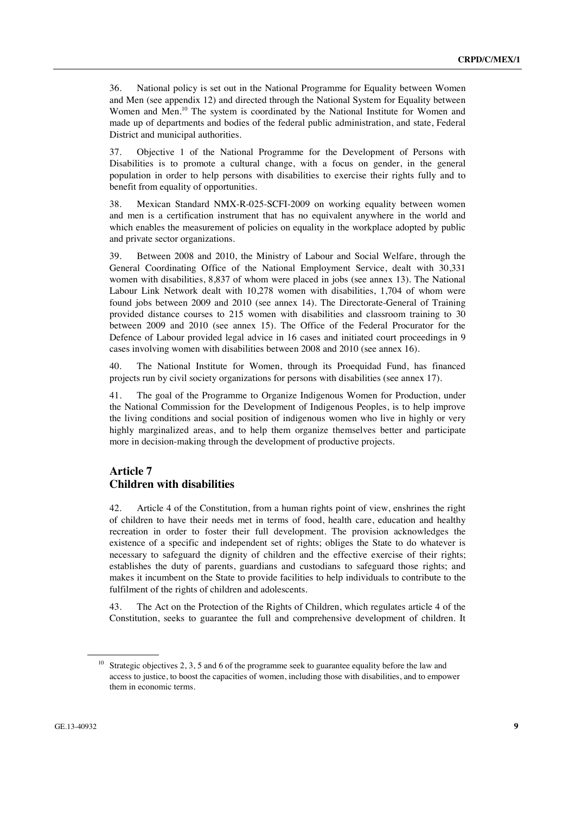36. National policy is set out in the National Programme for Equality between Women and Men (see appendix 12) and directed through the National System for Equality between Women and Men.<sup>10</sup> The system is coordinated by the National Institute for Women and made up of departments and bodies of the federal public administration, and state, Federal District and municipal authorities.

37. Objective 1 of the National Programme for the Development of Persons with Disabilities is to promote a cultural change, with a focus on gender, in the general population in order to help persons with disabilities to exercise their rights fully and to benefit from equality of opportunities.

38. Mexican Standard NMX-R-025-SCFI-2009 on working equality between women and men is a certification instrument that has no equivalent anywhere in the world and which enables the measurement of policies on equality in the workplace adopted by public and private sector organizations.

39. Between 2008 and 2010, the Ministry of Labour and Social Welfare, through the General Coordinating Office of the National Employment Service, dealt with 30,331 women with disabilities, 8,837 of whom were placed in jobs (see annex 13). The National Labour Link Network dealt with 10,278 women with disabilities, 1,704 of whom were found jobs between 2009 and 2010 (see annex 14). The Directorate-General of Training provided distance courses to 215 women with disabilities and classroom training to 30 between 2009 and 2010 (see annex 15). The Office of the Federal Procurator for the Defence of Labour provided legal advice in 16 cases and initiated court proceedings in 9 cases involving women with disabilities between 2008 and 2010 (see annex 16).

40. The National Institute for Women, through its Proequidad Fund, has financed projects run by civil society organizations for persons with disabilities (see annex 17).

41. The goal of the Programme to Organize Indigenous Women for Production, under the National Commission for the Development of Indigenous Peoples, is to help improve the living conditions and social position of indigenous women who live in highly or very highly marginalized areas, and to help them organize themselves better and participate more in decision-making through the development of productive projects.

### **Article 7 Children with disabilities**

42. Article 4 of the Constitution, from a human rights point of view, enshrines the right of children to have their needs met in terms of food, health care, education and healthy recreation in order to foster their full development. The provision acknowledges the existence of a specific and independent set of rights; obliges the State to do whatever is necessary to safeguard the dignity of children and the effective exercise of their rights; establishes the duty of parents, guardians and custodians to safeguard those rights; and makes it incumbent on the State to provide facilities to help individuals to contribute to the fulfilment of the rights of children and adolescents.

43. The Act on the Protection of the Rights of Children, which regulates article 4 of the Constitution, seeks to guarantee the full and comprehensive development of children. It

Strategic objectives 2, 3, 5 and 6 of the programme seek to guarantee equality before the law and access to justice, to boost the capacities of women, including those with disabilities, and to empower them in economic terms.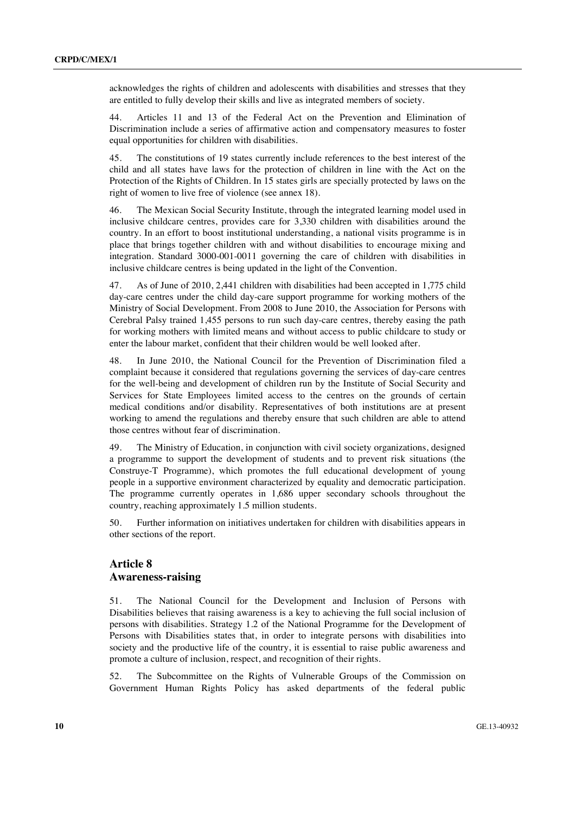acknowledges the rights of children and adolescents with disabilities and stresses that they are entitled to fully develop their skills and live as integrated members of society.

44. Articles 11 and 13 of the Federal Act on the Prevention and Elimination of Discrimination include a series of affirmative action and compensatory measures to foster equal opportunities for children with disabilities.

45. The constitutions of 19 states currently include references to the best interest of the child and all states have laws for the protection of children in line with the Act on the Protection of the Rights of Children. In 15 states girls are specially protected by laws on the right of women to live free of violence (see annex 18).

46. The Mexican Social Security Institute, through the integrated learning model used in inclusive childcare centres, provides care for 3,330 children with disabilities around the country. In an effort to boost institutional understanding, a national visits programme is in place that brings together children with and without disabilities to encourage mixing and integration. Standard 3000-001-0011 governing the care of children with disabilities in inclusive childcare centres is being updated in the light of the Convention.

47. As of June of 2010, 2,441 children with disabilities had been accepted in 1,775 child day-care centres under the child day-care support programme for working mothers of the Ministry of Social Development. From 2008 to June 2010, the Association for Persons with Cerebral Palsy trained 1,455 persons to run such day-care centres, thereby easing the path for working mothers with limited means and without access to public childcare to study or enter the labour market, confident that their children would be well looked after.

48. In June 2010, the National Council for the Prevention of Discrimination filed a complaint because it considered that regulations governing the services of day-care centres for the well-being and development of children run by the Institute of Social Security and Services for State Employees limited access to the centres on the grounds of certain medical conditions and/or disability. Representatives of both institutions are at present working to amend the regulations and thereby ensure that such children are able to attend those centres without fear of discrimination.

49. The Ministry of Education, in conjunction with civil society organizations, designed a programme to support the development of students and to prevent risk situations (the Construye-T Programme), which promotes the full educational development of young people in a supportive environment characterized by equality and democratic participation. The programme currently operates in 1,686 upper secondary schools throughout the country, reaching approximately 1.5 million students.

50. Further information on initiatives undertaken for children with disabilities appears in other sections of the report.

#### **Article 8 Awareness-raising**

51. The National Council for the Development and Inclusion of Persons with Disabilities believes that raising awareness is a key to achieving the full social inclusion of persons with disabilities. Strategy 1.2 of the National Programme for the Development of Persons with Disabilities states that, in order to integrate persons with disabilities into society and the productive life of the country, it is essential to raise public awareness and promote a culture of inclusion, respect, and recognition of their rights.

52. The Subcommittee on the Rights of Vulnerable Groups of the Commission on Government Human Rights Policy has asked departments of the federal public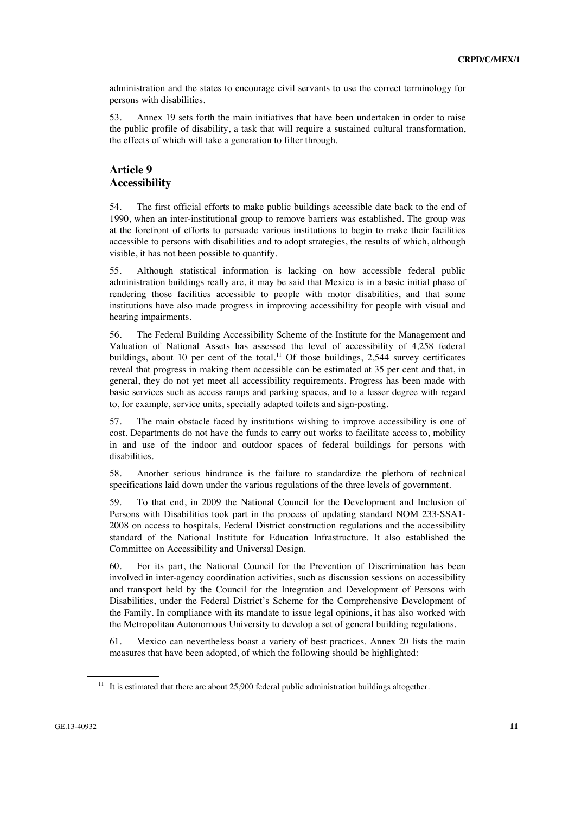administration and the states to encourage civil servants to use the correct terminology for persons with disabilities.

53. Annex 19 sets forth the main initiatives that have been undertaken in order to raise the public profile of disability, a task that will require a sustained cultural transformation, the effects of which will take a generation to filter through.

# **Article 9 Accessibility**

54. The first official efforts to make public buildings accessible date back to the end of 1990, when an inter-institutional group to remove barriers was established. The group was at the forefront of efforts to persuade various institutions to begin to make their facilities accessible to persons with disabilities and to adopt strategies, the results of which, although visible, it has not been possible to quantify.

55. Although statistical information is lacking on how accessible federal public administration buildings really are, it may be said that Mexico is in a basic initial phase of rendering those facilities accessible to people with motor disabilities, and that some institutions have also made progress in improving accessibility for people with visual and hearing impairments.

56. The Federal Building Accessibility Scheme of the Institute for the Management and Valuation of National Assets has assessed the level of accessibility of 4,258 federal buildings, about 10 per cent of the total.<sup>11</sup> Of those buildings, 2,544 survey certificates reveal that progress in making them accessible can be estimated at 35 per cent and that, in general, they do not yet meet all accessibility requirements. Progress has been made with basic services such as access ramps and parking spaces, and to a lesser degree with regard to, for example, service units, specially adapted toilets and sign-posting.

57. The main obstacle faced by institutions wishing to improve accessibility is one of cost. Departments do not have the funds to carry out works to facilitate access to, mobility in and use of the indoor and outdoor spaces of federal buildings for persons with disabilities.

58. Another serious hindrance is the failure to standardize the plethora of technical specifications laid down under the various regulations of the three levels of government.

59. To that end, in 2009 the National Council for the Development and Inclusion of Persons with Disabilities took part in the process of updating standard NOM 233-SSA1- 2008 on access to hospitals, Federal District construction regulations and the accessibility standard of the National Institute for Education Infrastructure. It also established the Committee on Accessibility and Universal Design.

60. For its part, the National Council for the Prevention of Discrimination has been involved in inter-agency coordination activities, such as discussion sessions on accessibility and transport held by the Council for the Integration and Development of Persons with Disabilities, under the Federal District's Scheme for the Comprehensive Development of the Family. In compliance with its mandate to issue legal opinions, it has also worked with the Metropolitan Autonomous University to develop a set of general building regulations.

61. Mexico can nevertheless boast a variety of best practices. Annex 20 lists the main measures that have been adopted, of which the following should be highlighted:

<sup>&</sup>lt;sup>11</sup> It is estimated that there are about 25,900 federal public administration buildings altogether.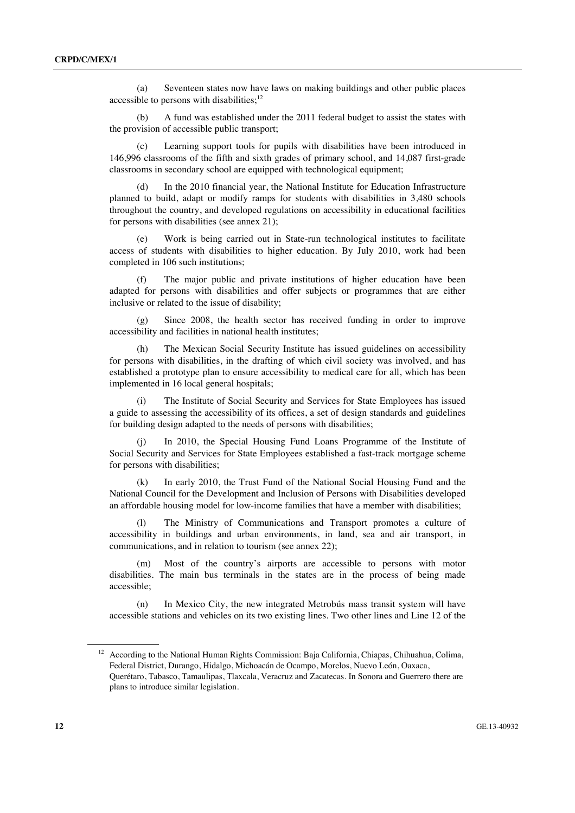(a) Seventeen states now have laws on making buildings and other public places accessible to persons with disabilities; $12$ 

 (b) A fund was established under the 2011 federal budget to assist the states with the provision of accessible public transport;

Learning support tools for pupils with disabilities have been introduced in 146,996 classrooms of the fifth and sixth grades of primary school, and 14,087 first-grade classrooms in secondary school are equipped with technological equipment;

 (d) In the 2010 financial year, the National Institute for Education Infrastructure planned to build, adapt or modify ramps for students with disabilities in 3,480 schools throughout the country, and developed regulations on accessibility in educational facilities for persons with disabilities (see annex 21);

 (e) Work is being carried out in State-run technological institutes to facilitate access of students with disabilities to higher education. By July 2010, work had been completed in 106 such institutions;

The major public and private institutions of higher education have been adapted for persons with disabilities and offer subjects or programmes that are either inclusive or related to the issue of disability;

 (g) Since 2008, the health sector has received funding in order to improve accessibility and facilities in national health institutes;

 (h) The Mexican Social Security Institute has issued guidelines on accessibility for persons with disabilities, in the drafting of which civil society was involved, and has established a prototype plan to ensure accessibility to medical care for all, which has been implemented in 16 local general hospitals;

 (i) The Institute of Social Security and Services for State Employees has issued a guide to assessing the accessibility of its offices, a set of design standards and guidelines for building design adapted to the needs of persons with disabilities;

 (j) In 2010, the Special Housing Fund Loans Programme of the Institute of Social Security and Services for State Employees established a fast-track mortgage scheme for persons with disabilities;

 (k) In early 2010, the Trust Fund of the National Social Housing Fund and the National Council for the Development and Inclusion of Persons with Disabilities developed an affordable housing model for low-income families that have a member with disabilities;

 (l) The Ministry of Communications and Transport promotes a culture of accessibility in buildings and urban environments, in land, sea and air transport, in communications, and in relation to tourism (see annex 22);

 (m) Most of the country's airports are accessible to persons with motor disabilities. The main bus terminals in the states are in the process of being made accessible;

In Mexico City, the new integrated Metrobús mass transit system will have accessible stations and vehicles on its two existing lines. Two other lines and Line 12 of the

<sup>&</sup>lt;sup>12</sup> According to the National Human Rights Commission: Baja California, Chiapas, Chihuahua, Colima, Federal District, Durango, Hidalgo, Michoacán de Ocampo, Morelos, Nuevo León, Oaxaca, Querétaro, Tabasco, Tamaulipas, Tlaxcala, Veracruz and Zacatecas. In Sonora and Guerrero there are plans to introduce similar legislation.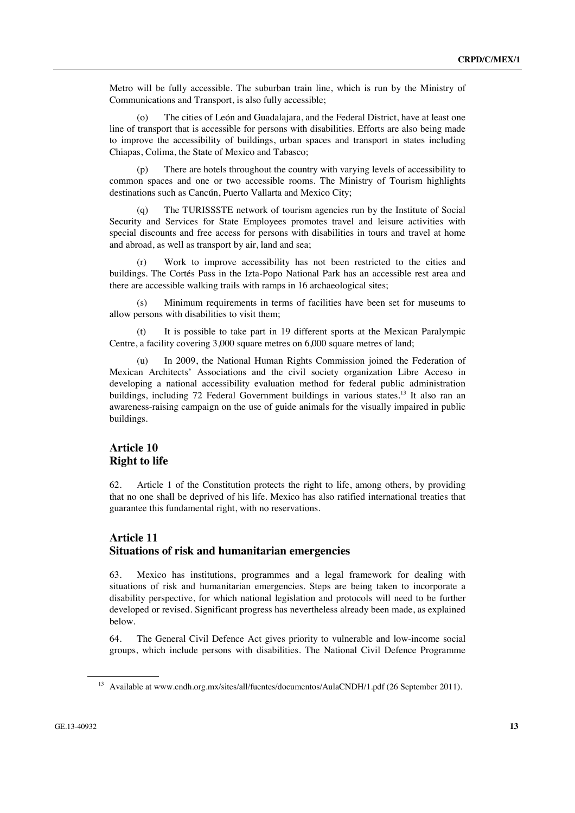Metro will be fully accessible. The suburban train line, which is run by the Ministry of Communications and Transport, is also fully accessible;

 (o) The cities of León and Guadalajara, and the Federal District, have at least one line of transport that is accessible for persons with disabilities. Efforts are also being made to improve the accessibility of buildings, urban spaces and transport in states including Chiapas, Colima, the State of Mexico and Tabasco;

 (p) There are hotels throughout the country with varying levels of accessibility to common spaces and one or two accessible rooms. The Ministry of Tourism highlights destinations such as Cancún, Puerto Vallarta and Mexico City;

 (q) The TURISSSTE network of tourism agencies run by the Institute of Social Security and Services for State Employees promotes travel and leisure activities with special discounts and free access for persons with disabilities in tours and travel at home and abroad, as well as transport by air, land and sea;

 (r) Work to improve accessibility has not been restricted to the cities and buildings. The Cortés Pass in the Izta-Popo National Park has an accessible rest area and there are accessible walking trails with ramps in 16 archaeological sites;

Minimum requirements in terms of facilities have been set for museums to allow persons with disabilities to visit them;

 (t) It is possible to take part in 19 different sports at the Mexican Paralympic Centre, a facility covering 3,000 square metres on 6,000 square metres of land;

In 2009, the National Human Rights Commission joined the Federation of Mexican Architects' Associations and the civil society organization Libre Acceso in developing a national accessibility evaluation method for federal public administration buildings, including 72 Federal Government buildings in various states.<sup>13</sup> It also ran an awareness-raising campaign on the use of guide animals for the visually impaired in public buildings.

### **Article 10 Right to life**

62. Article 1 of the Constitution protects the right to life, among others, by providing that no one shall be deprived of his life. Mexico has also ratified international treaties that guarantee this fundamental right, with no reservations.

### **Article 11 Situations of risk and humanitarian emergencies**

63. Mexico has institutions, programmes and a legal framework for dealing with situations of risk and humanitarian emergencies. Steps are being taken to incorporate a disability perspective, for which national legislation and protocols will need to be further developed or revised. Significant progress has nevertheless already been made, as explained below.

64. The General Civil Defence Act gives priority to vulnerable and low-income social groups, which include persons with disabilities. The National Civil Defence Programme

<sup>&</sup>lt;sup>13</sup> Available at www.cndh.org.mx/sites/all/fuentes/documentos/AulaCNDH/1.pdf (26 September 2011).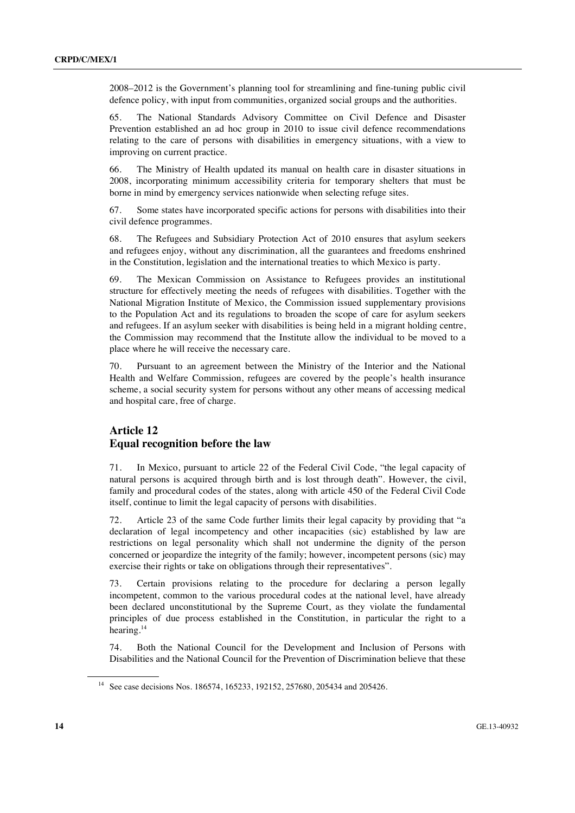2008–2012 is the Government's planning tool for streamlining and fine-tuning public civil defence policy, with input from communities, organized social groups and the authorities.

65. The National Standards Advisory Committee on Civil Defence and Disaster Prevention established an ad hoc group in 2010 to issue civil defence recommendations relating to the care of persons with disabilities in emergency situations, with a view to improving on current practice.

66. The Ministry of Health updated its manual on health care in disaster situations in 2008, incorporating minimum accessibility criteria for temporary shelters that must be borne in mind by emergency services nationwide when selecting refuge sites.

67. Some states have incorporated specific actions for persons with disabilities into their civil defence programmes.

68. The Refugees and Subsidiary Protection Act of 2010 ensures that asylum seekers and refugees enjoy, without any discrimination, all the guarantees and freedoms enshrined in the Constitution, legislation and the international treaties to which Mexico is party.

69. The Mexican Commission on Assistance to Refugees provides an institutional structure for effectively meeting the needs of refugees with disabilities. Together with the National Migration Institute of Mexico, the Commission issued supplementary provisions to the Population Act and its regulations to broaden the scope of care for asylum seekers and refugees. If an asylum seeker with disabilities is being held in a migrant holding centre, the Commission may recommend that the Institute allow the individual to be moved to a place where he will receive the necessary care.

70. Pursuant to an agreement between the Ministry of the Interior and the National Health and Welfare Commission, refugees are covered by the people's health insurance scheme, a social security system for persons without any other means of accessing medical and hospital care, free of charge.

### **Article 12 Equal recognition before the law**

71. In Mexico, pursuant to article 22 of the Federal Civil Code, "the legal capacity of natural persons is acquired through birth and is lost through death". However, the civil, family and procedural codes of the states, along with article 450 of the Federal Civil Code itself, continue to limit the legal capacity of persons with disabilities.

72. Article 23 of the same Code further limits their legal capacity by providing that "a declaration of legal incompetency and other incapacities (sic) established by law are restrictions on legal personality which shall not undermine the dignity of the person concerned or jeopardize the integrity of the family; however, incompetent persons (sic) may exercise their rights or take on obligations through their representatives".

73. Certain provisions relating to the procedure for declaring a person legally incompetent, common to the various procedural codes at the national level, have already been declared unconstitutional by the Supreme Court, as they violate the fundamental principles of due process established in the Constitution, in particular the right to a hearing.<sup>14</sup>

74. Both the National Council for the Development and Inclusion of Persons with Disabilities and the National Council for the Prevention of Discrimination believe that these

<sup>14</sup> See case decisions Nos. 186574, 165233, 192152, 257680, 205434 and 205426.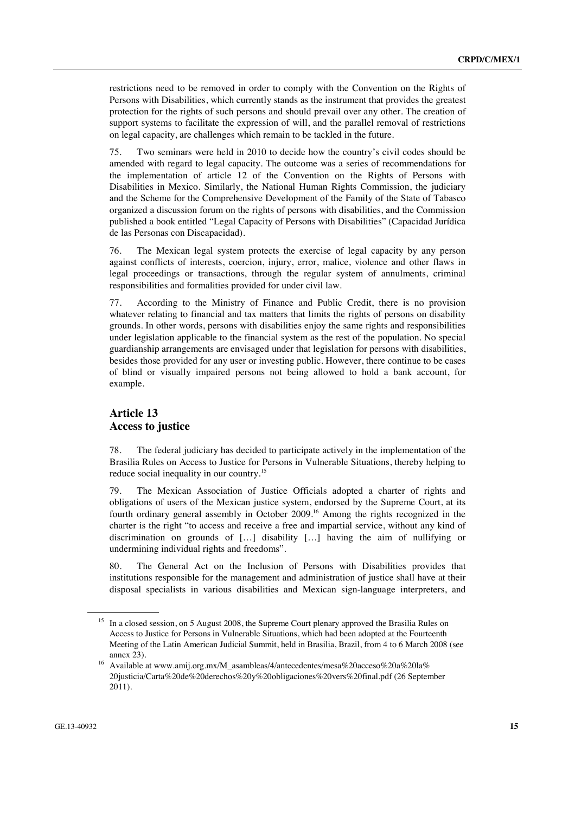restrictions need to be removed in order to comply with the Convention on the Rights of Persons with Disabilities, which currently stands as the instrument that provides the greatest protection for the rights of such persons and should prevail over any other. The creation of support systems to facilitate the expression of will, and the parallel removal of restrictions on legal capacity, are challenges which remain to be tackled in the future.

75. Two seminars were held in 2010 to decide how the country's civil codes should be amended with regard to legal capacity. The outcome was a series of recommendations for the implementation of article 12 of the Convention on the Rights of Persons with Disabilities in Mexico. Similarly, the National Human Rights Commission, the judiciary and the Scheme for the Comprehensive Development of the Family of the State of Tabasco organized a discussion forum on the rights of persons with disabilities, and the Commission published a book entitled "Legal Capacity of Persons with Disabilities" (Capacidad Jurídica de las Personas con Discapacidad).

76. The Mexican legal system protects the exercise of legal capacity by any person against conflicts of interests, coercion, injury, error, malice, violence and other flaws in legal proceedings or transactions, through the regular system of annulments, criminal responsibilities and formalities provided for under civil law.

77. According to the Ministry of Finance and Public Credit, there is no provision whatever relating to financial and tax matters that limits the rights of persons on disability grounds. In other words, persons with disabilities enjoy the same rights and responsibilities under legislation applicable to the financial system as the rest of the population. No special guardianship arrangements are envisaged under that legislation for persons with disabilities, besides those provided for any user or investing public. However, there continue to be cases of blind or visually impaired persons not being allowed to hold a bank account, for example.

#### **Article 13 Access to justice**

78. The federal judiciary has decided to participate actively in the implementation of the Brasilia Rules on Access to Justice for Persons in Vulnerable Situations, thereby helping to reduce social inequality in our country.<sup>15</sup>

79. The Mexican Association of Justice Officials adopted a charter of rights and obligations of users of the Mexican justice system, endorsed by the Supreme Court, at its fourth ordinary general assembly in October 2009.16 Among the rights recognized in the charter is the right "to access and receive a free and impartial service, without any kind of discrimination on grounds of […] disability […] having the aim of nullifying or undermining individual rights and freedoms".

80. The General Act on the Inclusion of Persons with Disabilities provides that institutions responsible for the management and administration of justice shall have at their disposal specialists in various disabilities and Mexican sign-language interpreters, and

<sup>&</sup>lt;sup>15</sup> In a closed session, on 5 August 2008, the Supreme Court plenary approved the Brasilia Rules on Access to Justice for Persons in Vulnerable Situations, which had been adopted at the Fourteenth Meeting of the Latin American Judicial Summit, held in Brasilia, Brazil, from 4 to 6 March 2008 (see

annex 23).<br><sup>16</sup> Available at www.amij.org.mx/M\_asambleas/4/antecedentes/mesa%20acceso%20a%20la% 20justicia/Carta%20de%20derechos%20y%20obligaciones%20vers%20final.pdf (26 September 2011).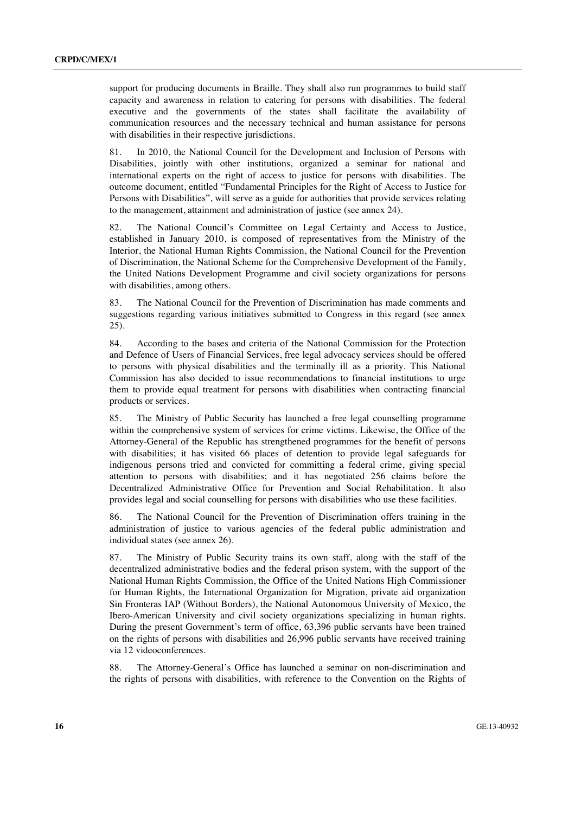support for producing documents in Braille. They shall also run programmes to build staff capacity and awareness in relation to catering for persons with disabilities. The federal executive and the governments of the states shall facilitate the availability of communication resources and the necessary technical and human assistance for persons with disabilities in their respective jurisdictions.

81. In 2010, the National Council for the Development and Inclusion of Persons with Disabilities, jointly with other institutions, organized a seminar for national and international experts on the right of access to justice for persons with disabilities. The outcome document, entitled "Fundamental Principles for the Right of Access to Justice for Persons with Disabilities", will serve as a guide for authorities that provide services relating to the management, attainment and administration of justice (see annex 24).

82. The National Council's Committee on Legal Certainty and Access to Justice, established in January 2010, is composed of representatives from the Ministry of the Interior, the National Human Rights Commission, the National Council for the Prevention of Discrimination, the National Scheme for the Comprehensive Development of the Family, the United Nations Development Programme and civil society organizations for persons with disabilities, among others.

83. The National Council for the Prevention of Discrimination has made comments and suggestions regarding various initiatives submitted to Congress in this regard (see annex 25).

84. According to the bases and criteria of the National Commission for the Protection and Defence of Users of Financial Services, free legal advocacy services should be offered to persons with physical disabilities and the terminally ill as a priority. This National Commission has also decided to issue recommendations to financial institutions to urge them to provide equal treatment for persons with disabilities when contracting financial products or services.

85. The Ministry of Public Security has launched a free legal counselling programme within the comprehensive system of services for crime victims. Likewise, the Office of the Attorney-General of the Republic has strengthened programmes for the benefit of persons with disabilities; it has visited 66 places of detention to provide legal safeguards for indigenous persons tried and convicted for committing a federal crime, giving special attention to persons with disabilities; and it has negotiated 256 claims before the Decentralized Administrative Office for Prevention and Social Rehabilitation. It also provides legal and social counselling for persons with disabilities who use these facilities.

86. The National Council for the Prevention of Discrimination offers training in the administration of justice to various agencies of the federal public administration and individual states (see annex 26).

87. The Ministry of Public Security trains its own staff, along with the staff of the decentralized administrative bodies and the federal prison system, with the support of the National Human Rights Commission, the Office of the United Nations High Commissioner for Human Rights, the International Organization for Migration, private aid organization Sin Fronteras IAP (Without Borders), the National Autonomous University of Mexico, the Ibero-American University and civil society organizations specializing in human rights. During the present Government's term of office, 63,396 public servants have been trained on the rights of persons with disabilities and 26,996 public servants have received training via 12 videoconferences.

88. The Attorney-General's Office has launched a seminar on non-discrimination and the rights of persons with disabilities, with reference to the Convention on the Rights of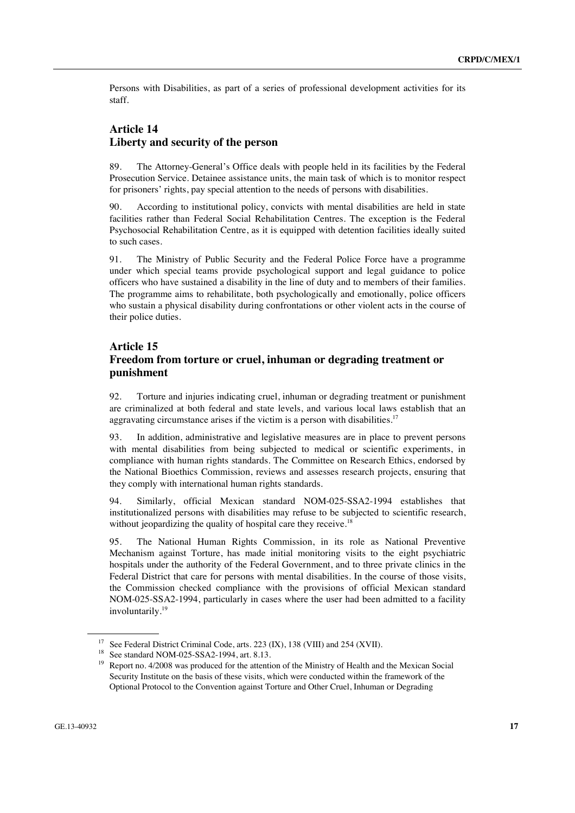Persons with Disabilities, as part of a series of professional development activities for its staff.

### **Article 14 Liberty and security of the person**

89. The Attorney-General's Office deals with people held in its facilities by the Federal Prosecution Service. Detainee assistance units, the main task of which is to monitor respect for prisoners' rights, pay special attention to the needs of persons with disabilities.

90. According to institutional policy, convicts with mental disabilities are held in state facilities rather than Federal Social Rehabilitation Centres. The exception is the Federal Psychosocial Rehabilitation Centre, as it is equipped with detention facilities ideally suited to such cases.

91. The Ministry of Public Security and the Federal Police Force have a programme under which special teams provide psychological support and legal guidance to police officers who have sustained a disability in the line of duty and to members of their families. The programme aims to rehabilitate, both psychologically and emotionally, police officers who sustain a physical disability during confrontations or other violent acts in the course of their police duties.

#### **Article 15**

# **Freedom from torture or cruel, inhuman or degrading treatment or punishment**

92. Torture and injuries indicating cruel, inhuman or degrading treatment or punishment are criminalized at both federal and state levels, and various local laws establish that an aggravating circumstance arises if the victim is a person with disabilities.<sup>17</sup>

93. In addition, administrative and legislative measures are in place to prevent persons with mental disabilities from being subjected to medical or scientific experiments, in compliance with human rights standards. The Committee on Research Ethics, endorsed by the National Bioethics Commission, reviews and assesses research projects, ensuring that they comply with international human rights standards.

94. Similarly, official Mexican standard NOM-025-SSA2-1994 establishes that institutionalized persons with disabilities may refuse to be subjected to scientific research, without jeopardizing the quality of hospital care they receive.<sup>18</sup>

95. The National Human Rights Commission, in its role as National Preventive Mechanism against Torture, has made initial monitoring visits to the eight psychiatric hospitals under the authority of the Federal Government, and to three private clinics in the Federal District that care for persons with mental disabilities. In the course of those visits, the Commission checked compliance with the provisions of official Mexican standard NOM-025-SSA2-1994, particularly in cases where the user had been admitted to a facility involuntarily.<sup>19</sup>

<sup>&</sup>lt;sup>17</sup> See Federal District Criminal Code, arts. 223 (IX), 138 (VIII) and 254 (XVII).

<sup>18</sup> See standard NOM-025-SSA2-1994, art. 8.13.

<sup>&</sup>lt;sup>19</sup> Report no. 4/2008 was produced for the attention of the Ministry of Health and the Mexican Social Security Institute on the basis of these visits, which were conducted within the framework of the Optional Protocol to the Convention against Torture and Other Cruel, Inhuman or Degrading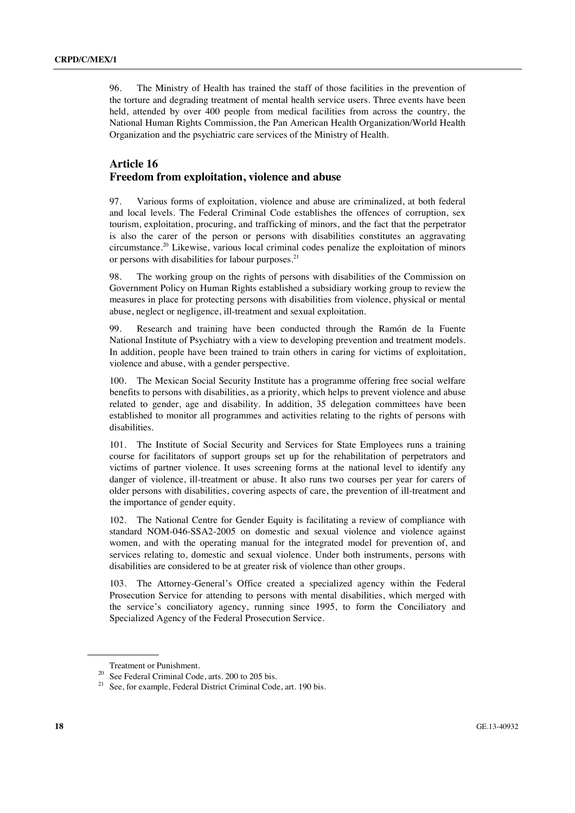96. The Ministry of Health has trained the staff of those facilities in the prevention of the torture and degrading treatment of mental health service users. Three events have been held, attended by over 400 people from medical facilities from across the country, the National Human Rights Commission, the Pan American Health Organization/World Health Organization and the psychiatric care services of the Ministry of Health.

### **Article 16 Freedom from exploitation, violence and abuse**

97. Various forms of exploitation, violence and abuse are criminalized, at both federal and local levels. The Federal Criminal Code establishes the offences of corruption, sex tourism, exploitation, procuring, and trafficking of minors, and the fact that the perpetrator is also the carer of the person or persons with disabilities constitutes an aggravating circumstance.20 Likewise, various local criminal codes penalize the exploitation of minors or persons with disabilities for labour purposes.<sup>21</sup>

98. The working group on the rights of persons with disabilities of the Commission on Government Policy on Human Rights established a subsidiary working group to review the measures in place for protecting persons with disabilities from violence, physical or mental abuse, neglect or negligence, ill-treatment and sexual exploitation.

99. Research and training have been conducted through the Ramón de la Fuente National Institute of Psychiatry with a view to developing prevention and treatment models. In addition, people have been trained to train others in caring for victims of exploitation, violence and abuse, with a gender perspective.

100. The Mexican Social Security Institute has a programme offering free social welfare benefits to persons with disabilities, as a priority, which helps to prevent violence and abuse related to gender, age and disability. In addition, 35 delegation committees have been established to monitor all programmes and activities relating to the rights of persons with disabilities.

101. The Institute of Social Security and Services for State Employees runs a training course for facilitators of support groups set up for the rehabilitation of perpetrators and victims of partner violence. It uses screening forms at the national level to identify any danger of violence, ill-treatment or abuse. It also runs two courses per year for carers of older persons with disabilities, covering aspects of care, the prevention of ill-treatment and the importance of gender equity.

102. The National Centre for Gender Equity is facilitating a review of compliance with standard NOM-046-SSA2-2005 on domestic and sexual violence and violence against women, and with the operating manual for the integrated model for prevention of, and services relating to, domestic and sexual violence. Under both instruments, persons with disabilities are considered to be at greater risk of violence than other groups.

103. The Attorney-General's Office created a specialized agency within the Federal Prosecution Service for attending to persons with mental disabilities, which merged with the service's conciliatory agency, running since 1995, to form the Conciliatory and Specialized Agency of the Federal Prosecution Service.

Treatment or Punishment.<br><sup>20</sup> See Federal Criminal Code, arts. 200 to 205 bis.

<sup>&</sup>lt;sup>21</sup> See, for example, Federal District Criminal Code, art. 190 bis.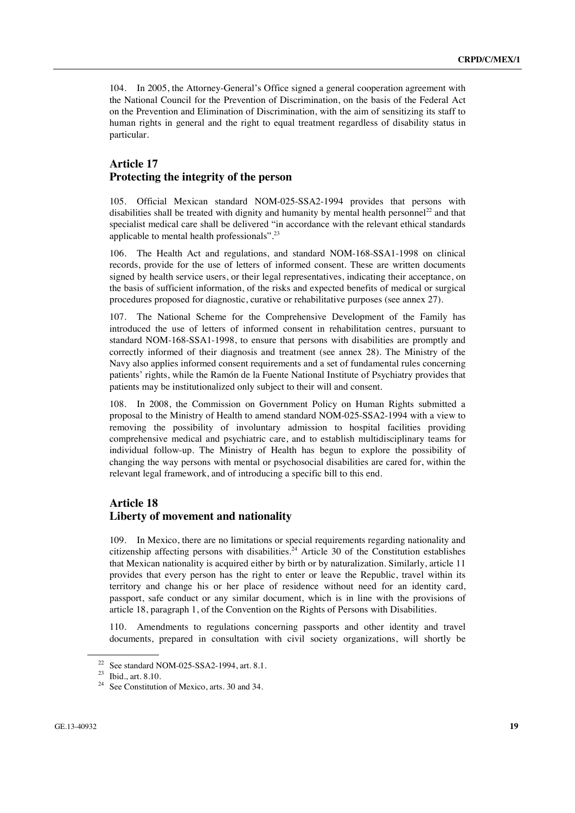104. In 2005, the Attorney-General's Office signed a general cooperation agreement with the National Council for the Prevention of Discrimination, on the basis of the Federal Act on the Prevention and Elimination of Discrimination, with the aim of sensitizing its staff to human rights in general and the right to equal treatment regardless of disability status in particular.

#### **Article 17 Protecting the integrity of the person**

105. Official Mexican standard NOM-025-SSA2-1994 provides that persons with disabilities shall be treated with dignity and humanity by mental health personnel<sup>22</sup> and that specialist medical care shall be delivered "in accordance with the relevant ethical standards applicable to mental health professionals".23

106. The Health Act and regulations, and standard NOM-168-SSA1-1998 on clinical records, provide for the use of letters of informed consent. These are written documents signed by health service users, or their legal representatives, indicating their acceptance, on the basis of sufficient information, of the risks and expected benefits of medical or surgical procedures proposed for diagnostic, curative or rehabilitative purposes (see annex 27).

107. The National Scheme for the Comprehensive Development of the Family has introduced the use of letters of informed consent in rehabilitation centres, pursuant to standard NOM-168-SSA1-1998, to ensure that persons with disabilities are promptly and correctly informed of their diagnosis and treatment (see annex 28). The Ministry of the Navy also applies informed consent requirements and a set of fundamental rules concerning patients' rights, while the Ramón de la Fuente National Institute of Psychiatry provides that patients may be institutionalized only subject to their will and consent.

108. In 2008, the Commission on Government Policy on Human Rights submitted a proposal to the Ministry of Health to amend standard NOM-025-SSA2-1994 with a view to removing the possibility of involuntary admission to hospital facilities providing comprehensive medical and psychiatric care, and to establish multidisciplinary teams for individual follow-up. The Ministry of Health has begun to explore the possibility of changing the way persons with mental or psychosocial disabilities are cared for, within the relevant legal framework, and of introducing a specific bill to this end.

### **Article 18 Liberty of movement and nationality**

109. In Mexico, there are no limitations or special requirements regarding nationality and citizenship affecting persons with disabilities.<sup>24</sup> Article 30 of the Constitution establishes that Mexican nationality is acquired either by birth or by naturalization. Similarly, article 11 provides that every person has the right to enter or leave the Republic, travel within its territory and change his or her place of residence without need for an identity card, passport, safe conduct or any similar document, which is in line with the provisions of article 18, paragraph 1, of the Convention on the Rights of Persons with Disabilities.

110. Amendments to regulations concerning passports and other identity and travel documents, prepared in consultation with civil society organizations, will shortly be

<sup>&</sup>lt;sup>22</sup> See standard NOM-025-SSA2-1994, art. 8.1.

<sup>23</sup> Ibid., art. 8.10.

<sup>&</sup>lt;sup>24</sup> See Constitution of Mexico, arts. 30 and 34.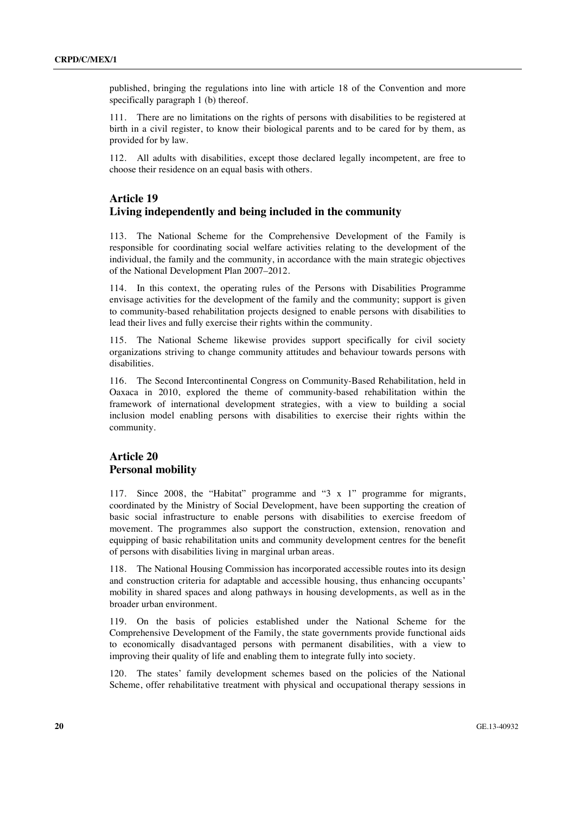published, bringing the regulations into line with article 18 of the Convention and more specifically paragraph 1 (b) thereof.

111. There are no limitations on the rights of persons with disabilities to be registered at birth in a civil register, to know their biological parents and to be cared for by them, as provided for by law.

112. All adults with disabilities, except those declared legally incompetent, are free to choose their residence on an equal basis with others.

### **Article 19 Living independently and being included in the community**

113. The National Scheme for the Comprehensive Development of the Family is responsible for coordinating social welfare activities relating to the development of the individual, the family and the community, in accordance with the main strategic objectives of the National Development Plan 2007–2012.

114. In this context, the operating rules of the Persons with Disabilities Programme envisage activities for the development of the family and the community; support is given to community-based rehabilitation projects designed to enable persons with disabilities to lead their lives and fully exercise their rights within the community.

115. The National Scheme likewise provides support specifically for civil society organizations striving to change community attitudes and behaviour towards persons with disabilities.

116. The Second Intercontinental Congress on Community-Based Rehabilitation, held in Oaxaca in 2010, explored the theme of community-based rehabilitation within the framework of international development strategies, with a view to building a social inclusion model enabling persons with disabilities to exercise their rights within the community.

### **Article 20 Personal mobility**

117. Since 2008, the "Habitat" programme and "3 x 1" programme for migrants, coordinated by the Ministry of Social Development, have been supporting the creation of basic social infrastructure to enable persons with disabilities to exercise freedom of movement. The programmes also support the construction, extension, renovation and equipping of basic rehabilitation units and community development centres for the benefit of persons with disabilities living in marginal urban areas.

118. The National Housing Commission has incorporated accessible routes into its design and construction criteria for adaptable and accessible housing, thus enhancing occupants' mobility in shared spaces and along pathways in housing developments, as well as in the broader urban environment.

119. On the basis of policies established under the National Scheme for the Comprehensive Development of the Family, the state governments provide functional aids to economically disadvantaged persons with permanent disabilities, with a view to improving their quality of life and enabling them to integrate fully into society.

120. The states' family development schemes based on the policies of the National Scheme, offer rehabilitative treatment with physical and occupational therapy sessions in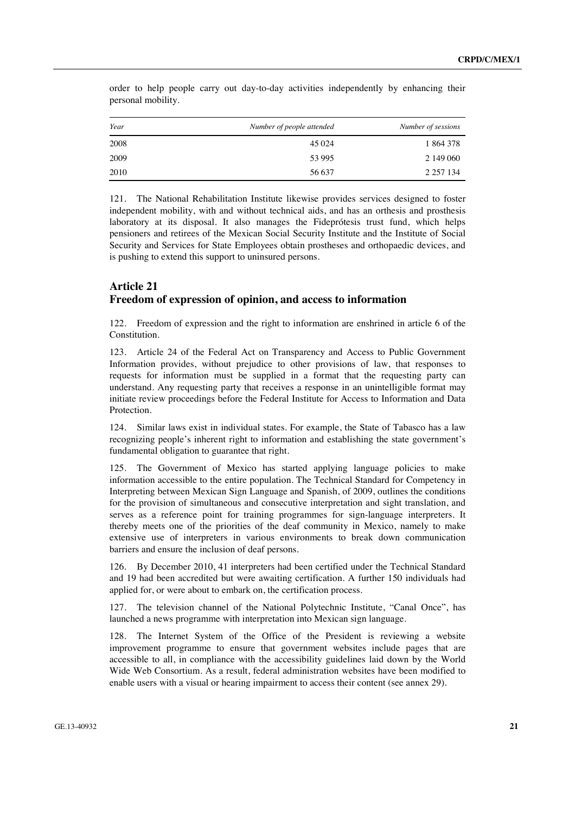| Year | Number of people attended | Number of sessions |
|------|---------------------------|--------------------|
| 2008 | 45 0 24                   | 1864378            |
| 2009 | 53 995                    | 2 149 060          |
| 2010 | 56 637                    | 2 2 5 7 1 3 4      |

order to help people carry out day-to-day activities independently by enhancing their personal mobility.

121. The National Rehabilitation Institute likewise provides services designed to foster independent mobility, with and without technical aids, and has an orthesis and prosthesis laboratory at its disposal. It also manages the Fideprótesis trust fund, which helps pensioners and retirees of the Mexican Social Security Institute and the Institute of Social Security and Services for State Employees obtain prostheses and orthopaedic devices, and is pushing to extend this support to uninsured persons.

### **Article 21 Freedom of expression of opinion, and access to information**

122. Freedom of expression and the right to information are enshrined in article 6 of the Constitution.

123. Article 24 of the Federal Act on Transparency and Access to Public Government Information provides, without prejudice to other provisions of law, that responses to requests for information must be supplied in a format that the requesting party can understand. Any requesting party that receives a response in an unintelligible format may initiate review proceedings before the Federal Institute for Access to Information and Data Protection.

124. Similar laws exist in individual states. For example, the State of Tabasco has a law recognizing people's inherent right to information and establishing the state government's fundamental obligation to guarantee that right.

125. The Government of Mexico has started applying language policies to make information accessible to the entire population. The Technical Standard for Competency in Interpreting between Mexican Sign Language and Spanish, of 2009, outlines the conditions for the provision of simultaneous and consecutive interpretation and sight translation, and serves as a reference point for training programmes for sign-language interpreters. It thereby meets one of the priorities of the deaf community in Mexico, namely to make extensive use of interpreters in various environments to break down communication barriers and ensure the inclusion of deaf persons.

126. By December 2010, 41 interpreters had been certified under the Technical Standard and 19 had been accredited but were awaiting certification. A further 150 individuals had applied for, or were about to embark on, the certification process.

127. The television channel of the National Polytechnic Institute, "Canal Once", has launched a news programme with interpretation into Mexican sign language.

128. The Internet System of the Office of the President is reviewing a website improvement programme to ensure that government websites include pages that are accessible to all, in compliance with the accessibility guidelines laid down by the World Wide Web Consortium. As a result, federal administration websites have been modified to enable users with a visual or hearing impairment to access their content (see annex 29).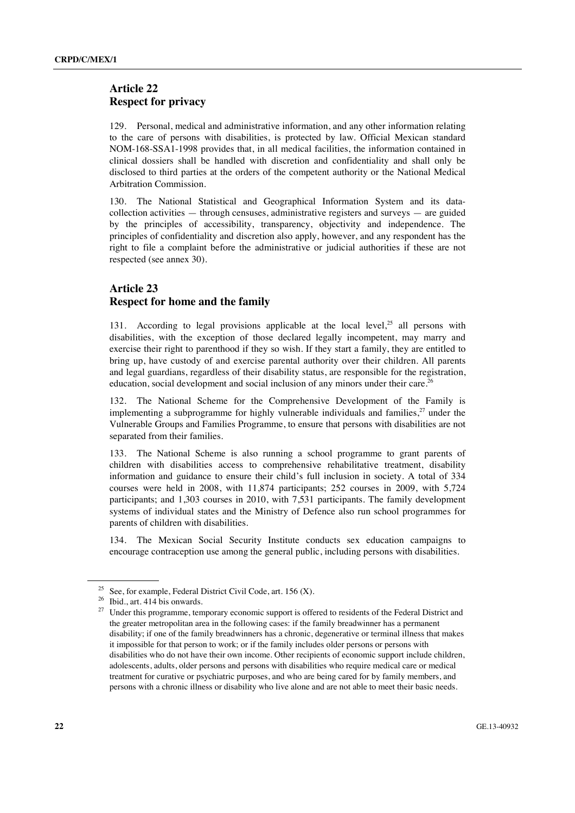### **Article 22 Respect for privacy**

129. Personal, medical and administrative information, and any other information relating to the care of persons with disabilities, is protected by law. Official Mexican standard NOM-168-SSA1-1998 provides that, in all medical facilities, the information contained in clinical dossiers shall be handled with discretion and confidentiality and shall only be disclosed to third parties at the orders of the competent authority or the National Medical Arbitration Commission.

130. The National Statistical and Geographical Information System and its datacollection activities — through censuses, administrative registers and surveys — are guided by the principles of accessibility, transparency, objectivity and independence. The principles of confidentiality and discretion also apply, however, and any respondent has the right to file a complaint before the administrative or judicial authorities if these are not respected (see annex 30).

### **Article 23 Respect for home and the family**

131. According to legal provisions applicable at the local level.<sup>25</sup> all persons with disabilities, with the exception of those declared legally incompetent, may marry and exercise their right to parenthood if they so wish. If they start a family, they are entitled to bring up, have custody of and exercise parental authority over their children. All parents and legal guardians, regardless of their disability status, are responsible for the registration, education, social development and social inclusion of any minors under their care.<sup>26</sup>

132. The National Scheme for the Comprehensive Development of the Family is implementing a subprogramme for highly vulnerable individuals and families, $2^7$  under the Vulnerable Groups and Families Programme, to ensure that persons with disabilities are not separated from their families.

133. The National Scheme is also running a school programme to grant parents of children with disabilities access to comprehensive rehabilitative treatment, disability information and guidance to ensure their child's full inclusion in society. A total of 334 courses were held in 2008, with 11,874 participants; 252 courses in 2009, with 5,724 participants; and 1,303 courses in 2010, with 7,531 participants. The family development systems of individual states and the Ministry of Defence also run school programmes for parents of children with disabilities.

134. The Mexican Social Security Institute conducts sex education campaigns to encourage contraception use among the general public, including persons with disabilities.

<sup>&</sup>lt;sup>25</sup> See, for example, Federal District Civil Code, art. 156 (X).<br><sup>26</sup> Ibid., art. 414 bis onwards.

<sup>&</sup>lt;sup>27</sup> Under this programme, temporary economic support is offered to residents of the Federal District and the greater metropolitan area in the following cases: if the family breadwinner has a permanent disability; if one of the family breadwinners has a chronic, degenerative or terminal illness that makes it impossible for that person to work; or if the family includes older persons or persons with disabilities who do not have their own income. Other recipients of economic support include children, adolescents, adults, older persons and persons with disabilities who require medical care or medical treatment for curative or psychiatric purposes, and who are being cared for by family members, and persons with a chronic illness or disability who live alone and are not able to meet their basic needs.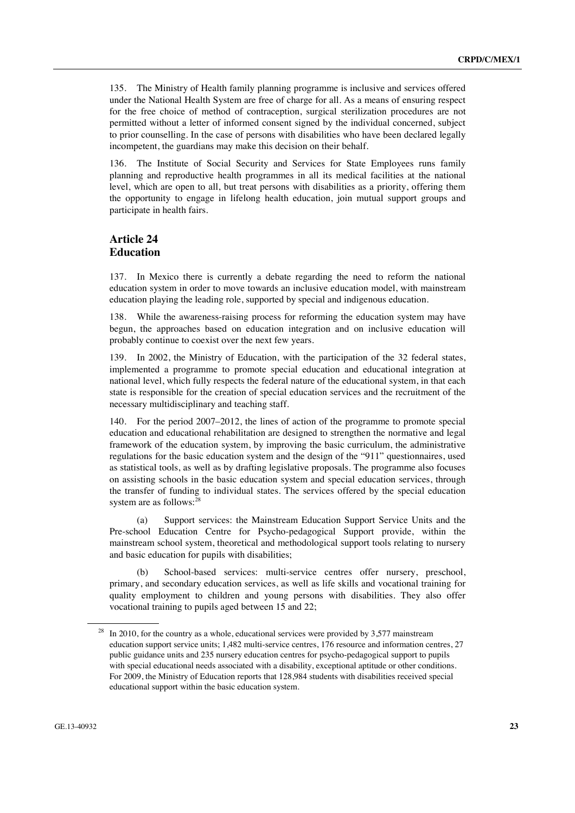135. The Ministry of Health family planning programme is inclusive and services offered under the National Health System are free of charge for all. As a means of ensuring respect for the free choice of method of contraception, surgical sterilization procedures are not permitted without a letter of informed consent signed by the individual concerned, subject to prior counselling. In the case of persons with disabilities who have been declared legally incompetent, the guardians may make this decision on their behalf.

136. The Institute of Social Security and Services for State Employees runs family planning and reproductive health programmes in all its medical facilities at the national level, which are open to all, but treat persons with disabilities as a priority, offering them the opportunity to engage in lifelong health education, join mutual support groups and participate in health fairs.

### **Article 24 Education**

137. In Mexico there is currently a debate regarding the need to reform the national education system in order to move towards an inclusive education model, with mainstream education playing the leading role, supported by special and indigenous education.

138. While the awareness-raising process for reforming the education system may have begun, the approaches based on education integration and on inclusive education will probably continue to coexist over the next few years.

139. In 2002, the Ministry of Education, with the participation of the 32 federal states, implemented a programme to promote special education and educational integration at national level, which fully respects the federal nature of the educational system, in that each state is responsible for the creation of special education services and the recruitment of the necessary multidisciplinary and teaching staff.

140. For the period 2007–2012, the lines of action of the programme to promote special education and educational rehabilitation are designed to strengthen the normative and legal framework of the education system, by improving the basic curriculum, the administrative regulations for the basic education system and the design of the "911" questionnaires, used as statistical tools, as well as by drafting legislative proposals. The programme also focuses on assisting schools in the basic education system and special education services, through the transfer of funding to individual states. The services offered by the special education system are as follows:<sup>28</sup>

 (a) Support services: the Mainstream Education Support Service Units and the Pre-school Education Centre for Psycho-pedagogical Support provide, within the mainstream school system, theoretical and methodological support tools relating to nursery and basic education for pupils with disabilities;

 (b) School-based services: multi-service centres offer nursery, preschool, primary, and secondary education services, as well as life skills and vocational training for quality employment to children and young persons with disabilities. They also offer vocational training to pupils aged between 15 and 22;

In 2010, for the country as a whole, educational services were provided by  $3,577$  mainstream education support service units; 1,482 multi-service centres, 176 resource and information centres, 27 public guidance units and 235 nursery education centres for psycho-pedagogical support to pupils with special educational needs associated with a disability, exceptional aptitude or other conditions. For 2009, the Ministry of Education reports that 128,984 students with disabilities received special educational support within the basic education system.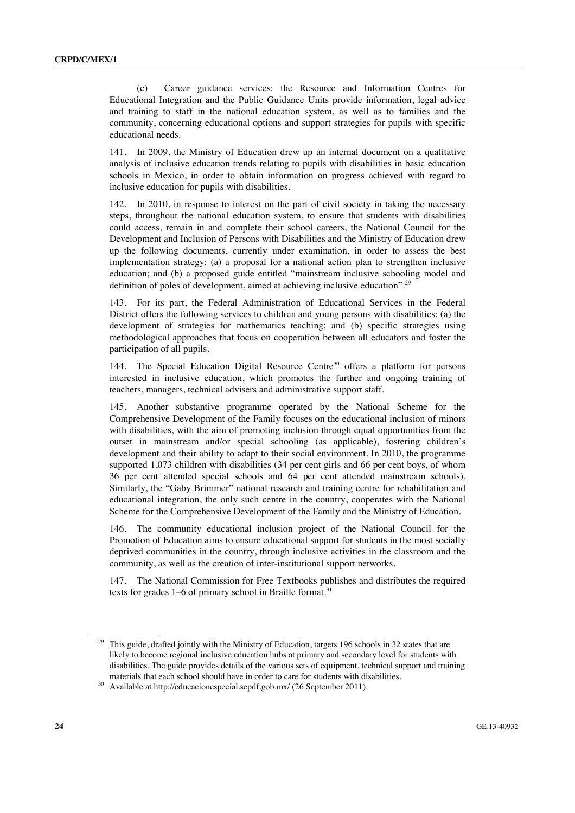(c) Career guidance services: the Resource and Information Centres for Educational Integration and the Public Guidance Units provide information, legal advice and training to staff in the national education system, as well as to families and the community, concerning educational options and support strategies for pupils with specific educational needs.

141. In 2009, the Ministry of Education drew up an internal document on a qualitative analysis of inclusive education trends relating to pupils with disabilities in basic education schools in Mexico, in order to obtain information on progress achieved with regard to inclusive education for pupils with disabilities.

142. In 2010, in response to interest on the part of civil society in taking the necessary steps, throughout the national education system, to ensure that students with disabilities could access, remain in and complete their school careers, the National Council for the Development and Inclusion of Persons with Disabilities and the Ministry of Education drew up the following documents, currently under examination, in order to assess the best implementation strategy: (a) a proposal for a national action plan to strengthen inclusive education; and (b) a proposed guide entitled "mainstream inclusive schooling model and definition of poles of development, aimed at achieving inclusive education".<sup>29</sup>

143. For its part, the Federal Administration of Educational Services in the Federal District offers the following services to children and young persons with disabilities: (a) the development of strategies for mathematics teaching; and (b) specific strategies using methodological approaches that focus on cooperation between all educators and foster the participation of all pupils.

144. The Special Education Digital Resource Centre<sup>30</sup> offers a platform for persons interested in inclusive education, which promotes the further and ongoing training of teachers, managers, technical advisers and administrative support staff.

145. Another substantive programme operated by the National Scheme for the Comprehensive Development of the Family focuses on the educational inclusion of minors with disabilities, with the aim of promoting inclusion through equal opportunities from the outset in mainstream and/or special schooling (as applicable), fostering children's development and their ability to adapt to their social environment. In 2010, the programme supported 1,073 children with disabilities (34 per cent girls and 66 per cent boys, of whom 36 per cent attended special schools and 64 per cent attended mainstream schools). Similarly, the "Gaby Brimmer" national research and training centre for rehabilitation and educational integration, the only such centre in the country, cooperates with the National Scheme for the Comprehensive Development of the Family and the Ministry of Education.

146. The community educational inclusion project of the National Council for the Promotion of Education aims to ensure educational support for students in the most socially deprived communities in the country, through inclusive activities in the classroom and the community, as well as the creation of inter-institutional support networks.

147. The National Commission for Free Textbooks publishes and distributes the required texts for grades 1–6 of primary school in Braille format.<sup>31</sup>

<sup>&</sup>lt;sup>29</sup> This guide, drafted jointly with the Ministry of Education, targets 196 schools in 32 states that are likely to become regional inclusive education hubs at primary and secondary level for students with disabilities. The guide provides details of the various sets of equipment, technical support and training materials that each school should have in order to care for students with disabilities. 30 Available at http://educacionespecial.sepdf.gob.mx/ (26 September 2011).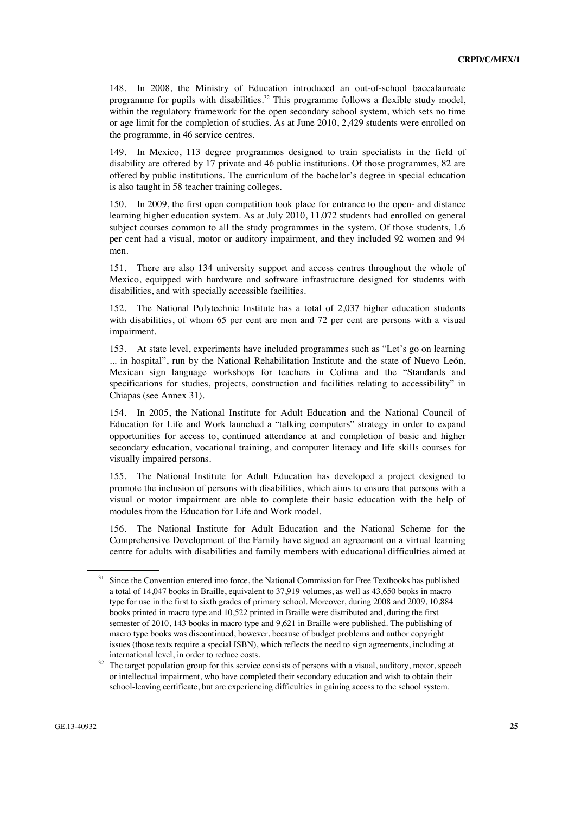148. In 2008, the Ministry of Education introduced an out-of-school baccalaureate programme for pupils with disabilities.<sup>32</sup> This programme follows a flexible study model, within the regulatory framework for the open secondary school system, which sets no time or age limit for the completion of studies. As at June 2010, 2,429 students were enrolled on the programme, in 46 service centres.

149. In Mexico, 113 degree programmes designed to train specialists in the field of disability are offered by 17 private and 46 public institutions. Of those programmes, 82 are offered by public institutions. The curriculum of the bachelor's degree in special education is also taught in 58 teacher training colleges.

150. In 2009, the first open competition took place for entrance to the open- and distance learning higher education system. As at July 2010, 11,072 students had enrolled on general subject courses common to all the study programmes in the system. Of those students, 1.6 per cent had a visual, motor or auditory impairment, and they included 92 women and 94 men.

151. There are also 134 university support and access centres throughout the whole of Mexico, equipped with hardware and software infrastructure designed for students with disabilities, and with specially accessible facilities.

152. The National Polytechnic Institute has a total of 2,037 higher education students with disabilities, of whom 65 per cent are men and 72 per cent are persons with a visual impairment.

153. At state level, experiments have included programmes such as "Let's go on learning ... in hospital", run by the National Rehabilitation Institute and the state of Nuevo León, Mexican sign language workshops for teachers in Colima and the "Standards and specifications for studies, projects, construction and facilities relating to accessibility" in Chiapas (see Annex 31).

154. In 2005, the National Institute for Adult Education and the National Council of Education for Life and Work launched a "talking computers" strategy in order to expand opportunities for access to, continued attendance at and completion of basic and higher secondary education, vocational training, and computer literacy and life skills courses for visually impaired persons.

155. The National Institute for Adult Education has developed a project designed to promote the inclusion of persons with disabilities, which aims to ensure that persons with a visual or motor impairment are able to complete their basic education with the help of modules from the Education for Life and Work model.

156. The National Institute for Adult Education and the National Scheme for the Comprehensive Development of the Family have signed an agreement on a virtual learning centre for adults with disabilities and family members with educational difficulties aimed at

Since the Convention entered into force, the National Commission for Free Textbooks has published a total of 14,047 books in Braille, equivalent to 37,919 volumes, as well as 43,650 books in macro type for use in the first to sixth grades of primary school. Moreover, during 2008 and 2009, 10,884 books printed in macro type and 10,522 printed in Braille were distributed and, during the first semester of 2010, 143 books in macro type and 9,621 in Braille were published. The publishing of macro type books was discontinued, however, because of budget problems and author copyright issues (those texts require a special ISBN), which reflects the need to sign agreements, including at

international level, in order to reduce costs.<br><sup>32</sup> The target population group for this service consists of persons with a visual, auditory, motor, speech or intellectual impairment, who have completed their secondary education and wish to obtain their school-leaving certificate, but are experiencing difficulties in gaining access to the school system.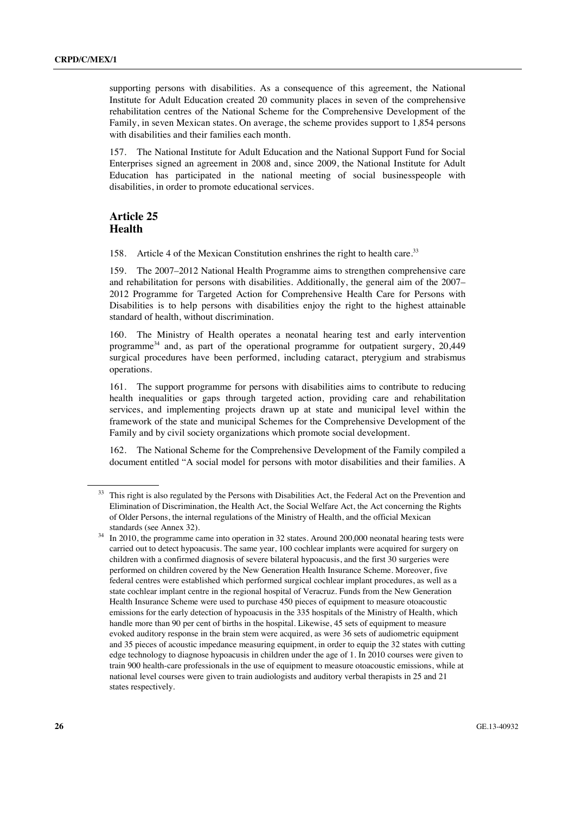supporting persons with disabilities. As a consequence of this agreement, the National Institute for Adult Education created 20 community places in seven of the comprehensive rehabilitation centres of the National Scheme for the Comprehensive Development of the Family, in seven Mexican states. On average, the scheme provides support to 1,854 persons with disabilities and their families each month.

157. The National Institute for Adult Education and the National Support Fund for Social Enterprises signed an agreement in 2008 and, since 2009, the National Institute for Adult Education has participated in the national meeting of social businesspeople with disabilities, in order to promote educational services.

### **Article 25 Health**

158. Article 4 of the Mexican Constitution enshrines the right to health care.<sup>33</sup>

159. The 2007–2012 National Health Programme aims to strengthen comprehensive care and rehabilitation for persons with disabilities. Additionally, the general aim of the 2007– 2012 Programme for Targeted Action for Comprehensive Health Care for Persons with Disabilities is to help persons with disabilities enjoy the right to the highest attainable standard of health, without discrimination.

160. The Ministry of Health operates a neonatal hearing test and early intervention programme<sup>34</sup> and, as part of the operational programme for outpatient surgery,  $20.449$ surgical procedures have been performed, including cataract, pterygium and strabismus operations.

161. The support programme for persons with disabilities aims to contribute to reducing health inequalities or gaps through targeted action, providing care and rehabilitation services, and implementing projects drawn up at state and municipal level within the framework of the state and municipal Schemes for the Comprehensive Development of the Family and by civil society organizations which promote social development.

162. The National Scheme for the Comprehensive Development of the Family compiled a document entitled "A social model for persons with motor disabilities and their families. A

<sup>33</sup> This right is also regulated by the Persons with Disabilities Act, the Federal Act on the Prevention and Elimination of Discrimination, the Health Act, the Social Welfare Act, the Act concerning the Rights of Older Persons, the internal regulations of the Ministry of Health, and the official Mexican

standards (see Annex 32).<br><sup>34</sup> In 2010, the programme came into operation in 32 states. Around 200,000 neonatal hearing tests were carried out to detect hypoacusis. The same year, 100 cochlear implants were acquired for surgery on children with a confirmed diagnosis of severe bilateral hypoacusis, and the first 30 surgeries were performed on children covered by the New Generation Health Insurance Scheme. Moreover, five federal centres were established which performed surgical cochlear implant procedures, as well as a state cochlear implant centre in the regional hospital of Veracruz. Funds from the New Generation Health Insurance Scheme were used to purchase 450 pieces of equipment to measure otoacoustic emissions for the early detection of hypoacusis in the 335 hospitals of the Ministry of Health, which handle more than 90 per cent of births in the hospital. Likewise, 45 sets of equipment to measure evoked auditory response in the brain stem were acquired, as were 36 sets of audiometric equipment and 35 pieces of acoustic impedance measuring equipment, in order to equip the 32 states with cutting edge technology to diagnose hypoacusis in children under the age of 1. In 2010 courses were given to train 900 health-care professionals in the use of equipment to measure otoacoustic emissions, while at national level courses were given to train audiologists and auditory verbal therapists in 25 and 21 states respectively.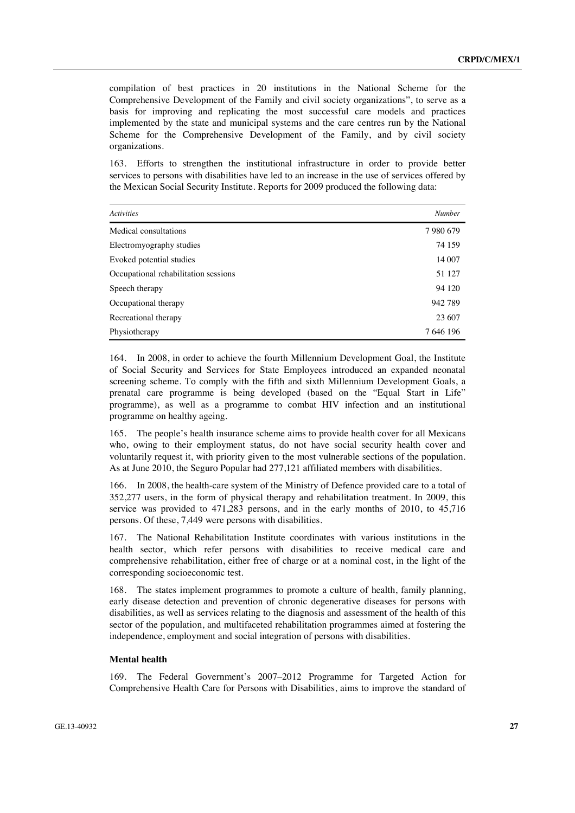compilation of best practices in 20 institutions in the National Scheme for the Comprehensive Development of the Family and civil society organizations", to serve as a basis for improving and replicating the most successful care models and practices implemented by the state and municipal systems and the care centres run by the National Scheme for the Comprehensive Development of the Family, and by civil society organizations.

163. Efforts to strengthen the institutional infrastructure in order to provide better services to persons with disabilities have led to an increase in the use of services offered by the Mexican Social Security Institute. Reports for 2009 produced the following data:

| <b>Activities</b>                    | <b>Number</b> |
|--------------------------------------|---------------|
| Medical consultations                | 7980679       |
| Electromy ography studies            | 74 159        |
| Evoked potential studies             | 14 007        |
| Occupational rehabilitation sessions | 51 127        |
| Speech therapy                       | 94 120        |
| Occupational therapy                 | 942789        |
| Recreational therapy                 | 23 607        |
| Physiotherapy                        | 7 646 196     |

164. In 2008, in order to achieve the fourth Millennium Development Goal, the Institute of Social Security and Services for State Employees introduced an expanded neonatal screening scheme. To comply with the fifth and sixth Millennium Development Goals, a prenatal care programme is being developed (based on the "Equal Start in Life" programme), as well as a programme to combat HIV infection and an institutional programme on healthy ageing.

165. The people's health insurance scheme aims to provide health cover for all Mexicans who, owing to their employment status, do not have social security health cover and voluntarily request it, with priority given to the most vulnerable sections of the population. As at June 2010, the Seguro Popular had 277,121 affiliated members with disabilities.

166. In 2008, the health-care system of the Ministry of Defence provided care to a total of 352,277 users, in the form of physical therapy and rehabilitation treatment. In 2009, this service was provided to 471,283 persons, and in the early months of 2010, to 45,716 persons. Of these, 7,449 were persons with disabilities.

167. The National Rehabilitation Institute coordinates with various institutions in the health sector, which refer persons with disabilities to receive medical care and comprehensive rehabilitation, either free of charge or at a nominal cost, in the light of the corresponding socioeconomic test.

168. The states implement programmes to promote a culture of health, family planning, early disease detection and prevention of chronic degenerative diseases for persons with disabilities, as well as services relating to the diagnosis and assessment of the health of this sector of the population, and multifaceted rehabilitation programmes aimed at fostering the independence, employment and social integration of persons with disabilities.

#### **Mental health**

169. The Federal Government's 2007–2012 Programme for Targeted Action for Comprehensive Health Care for Persons with Disabilities, aims to improve the standard of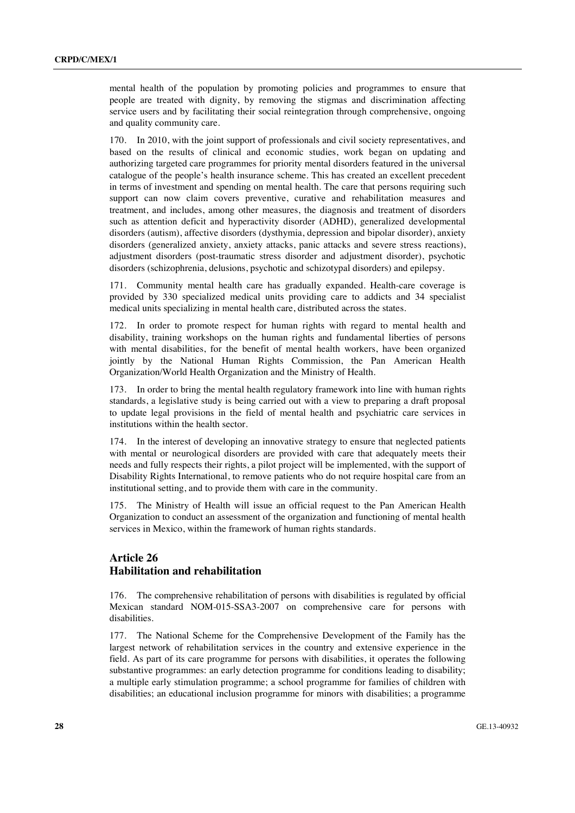mental health of the population by promoting policies and programmes to ensure that people are treated with dignity, by removing the stigmas and discrimination affecting service users and by facilitating their social reintegration through comprehensive, ongoing and quality community care.

170. In 2010, with the joint support of professionals and civil society representatives, and based on the results of clinical and economic studies, work began on updating and authorizing targeted care programmes for priority mental disorders featured in the universal catalogue of the people's health insurance scheme. This has created an excellent precedent in terms of investment and spending on mental health. The care that persons requiring such support can now claim covers preventive, curative and rehabilitation measures and treatment, and includes, among other measures, the diagnosis and treatment of disorders such as attention deficit and hyperactivity disorder (ADHD), generalized developmental disorders (autism), affective disorders (dysthymia, depression and bipolar disorder), anxiety disorders (generalized anxiety, anxiety attacks, panic attacks and severe stress reactions), adjustment disorders (post-traumatic stress disorder and adjustment disorder), psychotic disorders (schizophrenia, delusions, psychotic and schizotypal disorders) and epilepsy.

171. Community mental health care has gradually expanded. Health-care coverage is provided by 330 specialized medical units providing care to addicts and 34 specialist medical units specializing in mental health care, distributed across the states.

172. In order to promote respect for human rights with regard to mental health and disability, training workshops on the human rights and fundamental liberties of persons with mental disabilities, for the benefit of mental health workers, have been organized jointly by the National Human Rights Commission, the Pan American Health Organization/World Health Organization and the Ministry of Health.

173. In order to bring the mental health regulatory framework into line with human rights standards, a legislative study is being carried out with a view to preparing a draft proposal to update legal provisions in the field of mental health and psychiatric care services in institutions within the health sector.

174. In the interest of developing an innovative strategy to ensure that neglected patients with mental or neurological disorders are provided with care that adequately meets their needs and fully respects their rights, a pilot project will be implemented, with the support of Disability Rights International, to remove patients who do not require hospital care from an institutional setting, and to provide them with care in the community.

175. The Ministry of Health will issue an official request to the Pan American Health Organization to conduct an assessment of the organization and functioning of mental health services in Mexico, within the framework of human rights standards.

### **Article 26 Habilitation and rehabilitation**

176. The comprehensive rehabilitation of persons with disabilities is regulated by official Mexican standard NOM-015-SSA3-2007 on comprehensive care for persons with disabilities.

177. The National Scheme for the Comprehensive Development of the Family has the largest network of rehabilitation services in the country and extensive experience in the field. As part of its care programme for persons with disabilities, it operates the following substantive programmes: an early detection programme for conditions leading to disability; a multiple early stimulation programme; a school programme for families of children with disabilities; an educational inclusion programme for minors with disabilities; a programme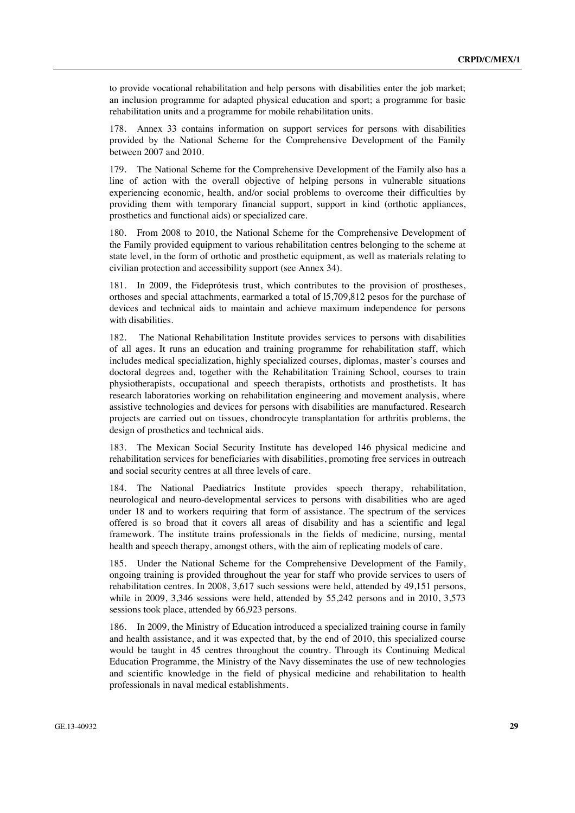to provide vocational rehabilitation and help persons with disabilities enter the job market; an inclusion programme for adapted physical education and sport; a programme for basic rehabilitation units and a programme for mobile rehabilitation units.

178. Annex 33 contains information on support services for persons with disabilities provided by the National Scheme for the Comprehensive Development of the Family between 2007 and 2010.

179. The National Scheme for the Comprehensive Development of the Family also has a line of action with the overall objective of helping persons in vulnerable situations experiencing economic, health, and/or social problems to overcome their difficulties by providing them with temporary financial support, support in kind (orthotic appliances, prosthetics and functional aids) or specialized care.

180. From 2008 to 2010, the National Scheme for the Comprehensive Development of the Family provided equipment to various rehabilitation centres belonging to the scheme at state level, in the form of orthotic and prosthetic equipment, as well as materials relating to civilian protection and accessibility support (see Annex 34).

181. In 2009, the Fideprótesis trust, which contributes to the provision of prostheses, orthoses and special attachments, earmarked a total of l5,709,812 pesos for the purchase of devices and technical aids to maintain and achieve maximum independence for persons with disabilities.

182. The National Rehabilitation Institute provides services to persons with disabilities of all ages. It runs an education and training programme for rehabilitation staff, which includes medical specialization, highly specialized courses, diplomas, master's courses and doctoral degrees and, together with the Rehabilitation Training School, courses to train physiotherapists, occupational and speech therapists, orthotists and prosthetists. It has research laboratories working on rehabilitation engineering and movement analysis, where assistive technologies and devices for persons with disabilities are manufactured. Research projects are carried out on tissues, chondrocyte transplantation for arthritis problems, the design of prosthetics and technical aids.

183. The Mexican Social Security Institute has developed 146 physical medicine and rehabilitation services for beneficiaries with disabilities, promoting free services in outreach and social security centres at all three levels of care.

The National Paediatrics Institute provides speech therapy, rehabilitation, neurological and neuro-developmental services to persons with disabilities who are aged under 18 and to workers requiring that form of assistance. The spectrum of the services offered is so broad that it covers all areas of disability and has a scientific and legal framework. The institute trains professionals in the fields of medicine, nursing, mental health and speech therapy, amongst others, with the aim of replicating models of care.

185. Under the National Scheme for the Comprehensive Development of the Family, ongoing training is provided throughout the year for staff who provide services to users of rehabilitation centres. In 2008, 3,617 such sessions were held, attended by 49,151 persons, while in 2009, 3,346 sessions were held, attended by 55,242 persons and in 2010, 3,573 sessions took place, attended by 66,923 persons.

186. In 2009, the Ministry of Education introduced a specialized training course in family and health assistance, and it was expected that, by the end of 2010, this specialized course would be taught in 45 centres throughout the country. Through its Continuing Medical Education Programme, the Ministry of the Navy disseminates the use of new technologies and scientific knowledge in the field of physical medicine and rehabilitation to health professionals in naval medical establishments.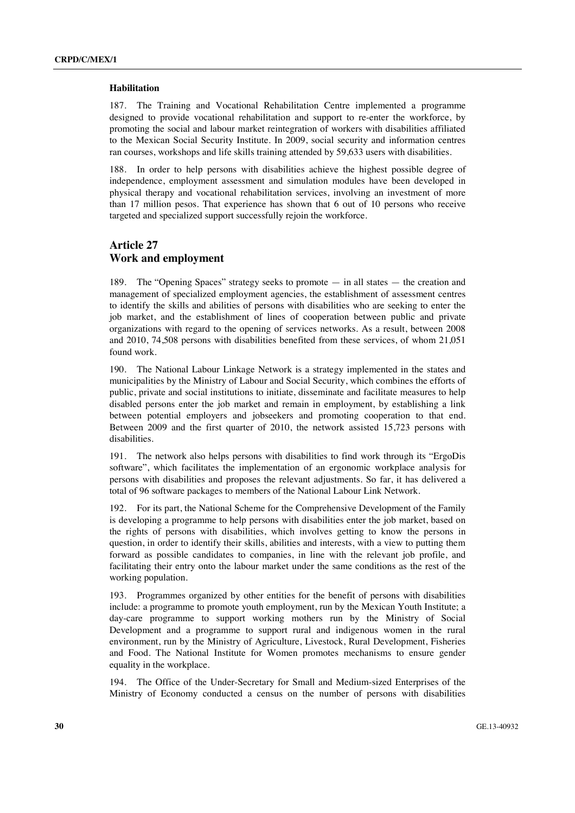#### **Habilitation**

187. The Training and Vocational Rehabilitation Centre implemented a programme designed to provide vocational rehabilitation and support to re-enter the workforce, by promoting the social and labour market reintegration of workers with disabilities affiliated to the Mexican Social Security Institute. In 2009, social security and information centres ran courses, workshops and life skills training attended by 59,633 users with disabilities.

188. In order to help persons with disabilities achieve the highest possible degree of independence, employment assessment and simulation modules have been developed in physical therapy and vocational rehabilitation services, involving an investment of more than 17 million pesos. That experience has shown that 6 out of 10 persons who receive targeted and specialized support successfully rejoin the workforce.

#### **Article 27 Work and employment**

189. The "Opening Spaces" strategy seeks to promote — in all states — the creation and management of specialized employment agencies, the establishment of assessment centres to identify the skills and abilities of persons with disabilities who are seeking to enter the job market, and the establishment of lines of cooperation between public and private organizations with regard to the opening of services networks. As a result, between 2008 and 2010, 74,508 persons with disabilities benefited from these services, of whom 21,051 found work.

190. The National Labour Linkage Network is a strategy implemented in the states and municipalities by the Ministry of Labour and Social Security, which combines the efforts of public, private and social institutions to initiate, disseminate and facilitate measures to help disabled persons enter the job market and remain in employment, by establishing a link between potential employers and jobseekers and promoting cooperation to that end. Between 2009 and the first quarter of 2010, the network assisted 15,723 persons with disabilities.

191. The network also helps persons with disabilities to find work through its "ErgoDis software", which facilitates the implementation of an ergonomic workplace analysis for persons with disabilities and proposes the relevant adjustments. So far, it has delivered a total of 96 software packages to members of the National Labour Link Network.

192. For its part, the National Scheme for the Comprehensive Development of the Family is developing a programme to help persons with disabilities enter the job market, based on the rights of persons with disabilities, which involves getting to know the persons in question, in order to identify their skills, abilities and interests, with a view to putting them forward as possible candidates to companies, in line with the relevant job profile, and facilitating their entry onto the labour market under the same conditions as the rest of the working population.

193. Programmes organized by other entities for the benefit of persons with disabilities include: a programme to promote youth employment, run by the Mexican Youth Institute; a day-care programme to support working mothers run by the Ministry of Social Development and a programme to support rural and indigenous women in the rural environment, run by the Ministry of Agriculture, Livestock, Rural Development, Fisheries and Food. The National Institute for Women promotes mechanisms to ensure gender equality in the workplace.

194. The Office of the Under-Secretary for Small and Medium-sized Enterprises of the Ministry of Economy conducted a census on the number of persons with disabilities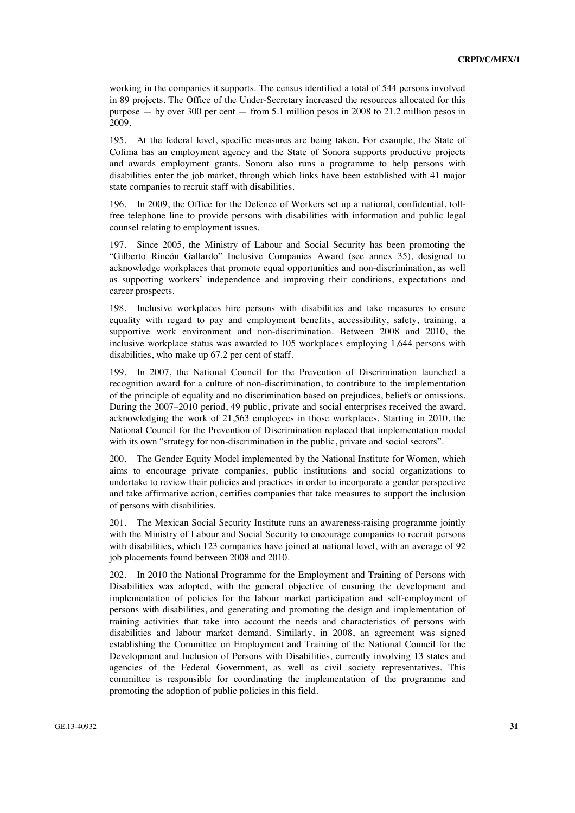working in the companies it supports. The census identified a total of 544 persons involved in 89 projects. The Office of the Under-Secretary increased the resources allocated for this purpose — by over 300 per cent — from 5.1 million pesos in 2008 to 21.2 million pesos in 2009.

195. At the federal level, specific measures are being taken. For example, the State of Colima has an employment agency and the State of Sonora supports productive projects and awards employment grants. Sonora also runs a programme to help persons with disabilities enter the job market, through which links have been established with 41 major state companies to recruit staff with disabilities.

196. In 2009, the Office for the Defence of Workers set up a national, confidential, tollfree telephone line to provide persons with disabilities with information and public legal counsel relating to employment issues.

197. Since 2005, the Ministry of Labour and Social Security has been promoting the "Gilberto Rincón Gallardo" Inclusive Companies Award (see annex 35), designed to acknowledge workplaces that promote equal opportunities and non-discrimination, as well as supporting workers' independence and improving their conditions, expectations and career prospects.

198. Inclusive workplaces hire persons with disabilities and take measures to ensure equality with regard to pay and employment benefits, accessibility, safety, training, a supportive work environment and non-discrimination. Between 2008 and 2010, the inclusive workplace status was awarded to 105 workplaces employing 1,644 persons with disabilities, who make up 67.2 per cent of staff.

199. In 2007, the National Council for the Prevention of Discrimination launched a recognition award for a culture of non-discrimination, to contribute to the implementation of the principle of equality and no discrimination based on prejudices, beliefs or omissions. During the 2007–2010 period, 49 public, private and social enterprises received the award, acknowledging the work of 21,563 employees in those workplaces. Starting in 2010, the National Council for the Prevention of Discrimination replaced that implementation model with its own "strategy for non-discrimination in the public, private and social sectors".

200. The Gender Equity Model implemented by the National Institute for Women, which aims to encourage private companies, public institutions and social organizations to undertake to review their policies and practices in order to incorporate a gender perspective and take affirmative action, certifies companies that take measures to support the inclusion of persons with disabilities.

201. The Mexican Social Security Institute runs an awareness-raising programme jointly with the Ministry of Labour and Social Security to encourage companies to recruit persons with disabilities, which 123 companies have joined at national level, with an average of 92 job placements found between 2008 and 2010.

202. In 2010 the National Programme for the Employment and Training of Persons with Disabilities was adopted, with the general objective of ensuring the development and implementation of policies for the labour market participation and self-employment of persons with disabilities, and generating and promoting the design and implementation of training activities that take into account the needs and characteristics of persons with disabilities and labour market demand. Similarly, in 2008, an agreement was signed establishing the Committee on Employment and Training of the National Council for the Development and Inclusion of Persons with Disabilities, currently involving 13 states and agencies of the Federal Government, as well as civil society representatives. This committee is responsible for coordinating the implementation of the programme and promoting the adoption of public policies in this field.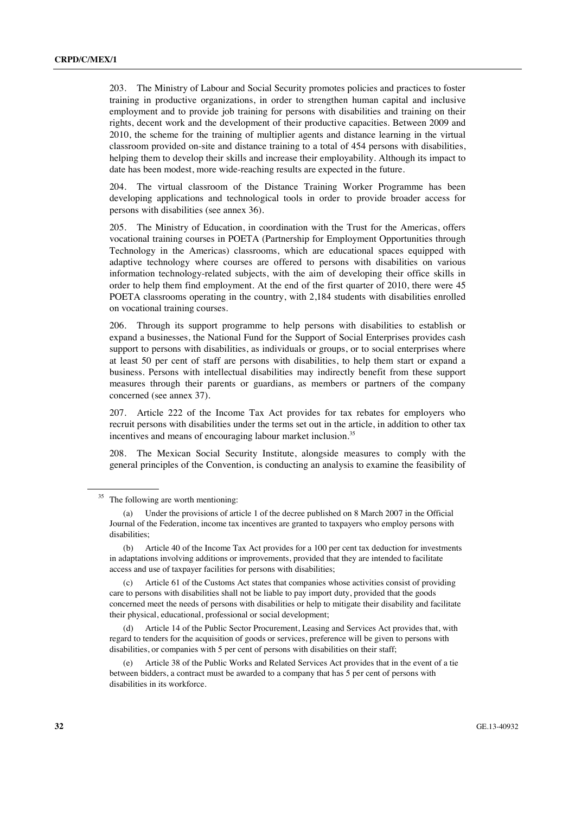203. The Ministry of Labour and Social Security promotes policies and practices to foster training in productive organizations, in order to strengthen human capital and inclusive employment and to provide job training for persons with disabilities and training on their rights, decent work and the development of their productive capacities. Between 2009 and 2010, the scheme for the training of multiplier agents and distance learning in the virtual classroom provided on-site and distance training to a total of 454 persons with disabilities, helping them to develop their skills and increase their employability. Although its impact to date has been modest, more wide-reaching results are expected in the future.

204. The virtual classroom of the Distance Training Worker Programme has been developing applications and technological tools in order to provide broader access for persons with disabilities (see annex 36).

205. The Ministry of Education, in coordination with the Trust for the Americas, offers vocational training courses in POETA (Partnership for Employment Opportunities through Technology in the Americas) classrooms, which are educational spaces equipped with adaptive technology where courses are offered to persons with disabilities on various information technology-related subjects, with the aim of developing their office skills in order to help them find employment. At the end of the first quarter of 2010, there were 45 POETA classrooms operating in the country, with 2,184 students with disabilities enrolled on vocational training courses.

206. Through its support programme to help persons with disabilities to establish or expand a businesses, the National Fund for the Support of Social Enterprises provides cash support to persons with disabilities, as individuals or groups, or to social enterprises where at least 50 per cent of staff are persons with disabilities, to help them start or expand a business. Persons with intellectual disabilities may indirectly benefit from these support measures through their parents or guardians, as members or partners of the company concerned (see annex 37).

207. Article 222 of the Income Tax Act provides for tax rebates for employers who recruit persons with disabilities under the terms set out in the article, in addition to other tax incentives and means of encouraging labour market inclusion.<sup>35</sup>

208. The Mexican Social Security Institute, alongside measures to comply with the general principles of the Convention, is conducting an analysis to examine the feasibility of

Article 14 of the Public Sector Procurement, Leasing and Services Act provides that, with regard to tenders for the acquisition of goods or services, preference will be given to persons with disabilities, or companies with 5 per cent of persons with disabilities on their staff;

 (e) Article 38 of the Public Works and Related Services Act provides that in the event of a tie between bidders, a contract must be awarded to a company that has 5 per cent of persons with disabilities in its workforce.

<sup>&</sup>lt;sup>35</sup> The following are worth mentioning:

 <sup>(</sup>a) Under the provisions of article 1 of the decree published on 8 March 2007 in the Official Journal of the Federation, income tax incentives are granted to taxpayers who employ persons with disabilities;

 <sup>(</sup>b) Article 40 of the Income Tax Act provides for a 100 per cent tax deduction for investments in adaptations involving additions or improvements, provided that they are intended to facilitate access and use of taxpayer facilities for persons with disabilities;

 <sup>(</sup>c) Article 61 of the Customs Act states that companies whose activities consist of providing care to persons with disabilities shall not be liable to pay import duty, provided that the goods concerned meet the needs of persons with disabilities or help to mitigate their disability and facilitate their physical, educational, professional or social development;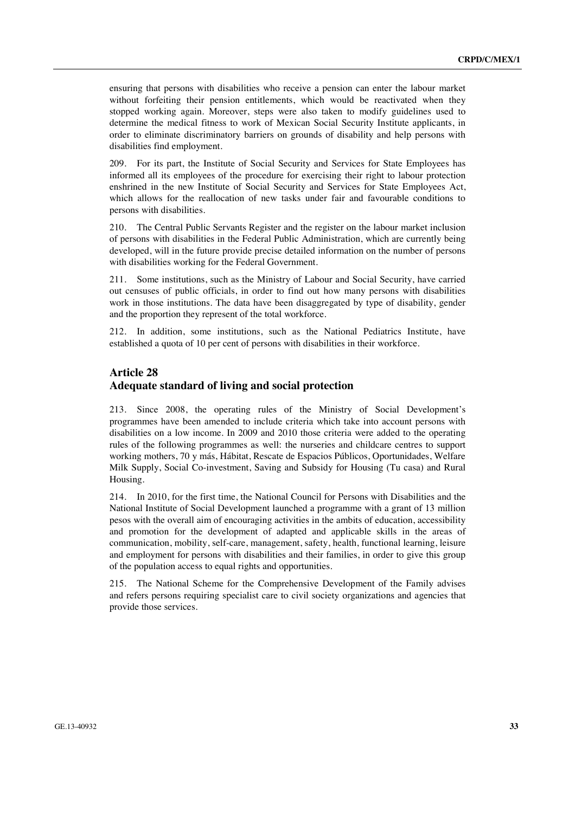ensuring that persons with disabilities who receive a pension can enter the labour market without forfeiting their pension entitlements, which would be reactivated when they stopped working again. Moreover, steps were also taken to modify guidelines used to determine the medical fitness to work of Mexican Social Security Institute applicants, in order to eliminate discriminatory barriers on grounds of disability and help persons with disabilities find employment.

209. For its part, the Institute of Social Security and Services for State Employees has informed all its employees of the procedure for exercising their right to labour protection enshrined in the new Institute of Social Security and Services for State Employees Act, which allows for the reallocation of new tasks under fair and favourable conditions to persons with disabilities.

210. The Central Public Servants Register and the register on the labour market inclusion of persons with disabilities in the Federal Public Administration, which are currently being developed, will in the future provide precise detailed information on the number of persons with disabilities working for the Federal Government.

211. Some institutions, such as the Ministry of Labour and Social Security, have carried out censuses of public officials, in order to find out how many persons with disabilities work in those institutions. The data have been disaggregated by type of disability, gender and the proportion they represent of the total workforce.

212. In addition, some institutions, such as the National Pediatrics Institute, have established a quota of 10 per cent of persons with disabilities in their workforce.

### **Article 28 Adequate standard of living and social protection**

213. Since 2008, the operating rules of the Ministry of Social Development's programmes have been amended to include criteria which take into account persons with disabilities on a low income. In 2009 and 2010 those criteria were added to the operating rules of the following programmes as well: the nurseries and childcare centres to support working mothers, 70 y más, Hábitat, Rescate de Espacios Públicos, Oportunidades, Welfare Milk Supply, Social Co-investment, Saving and Subsidy for Housing (Tu casa) and Rural Housing.

214. In 2010, for the first time, the National Council for Persons with Disabilities and the National Institute of Social Development launched a programme with a grant of 13 million pesos with the overall aim of encouraging activities in the ambits of education, accessibility and promotion for the development of adapted and applicable skills in the areas of communication, mobility, self-care, management, safety, health, functional learning, leisure and employment for persons with disabilities and their families, in order to give this group of the population access to equal rights and opportunities.

215. The National Scheme for the Comprehensive Development of the Family advises and refers persons requiring specialist care to civil society organizations and agencies that provide those services.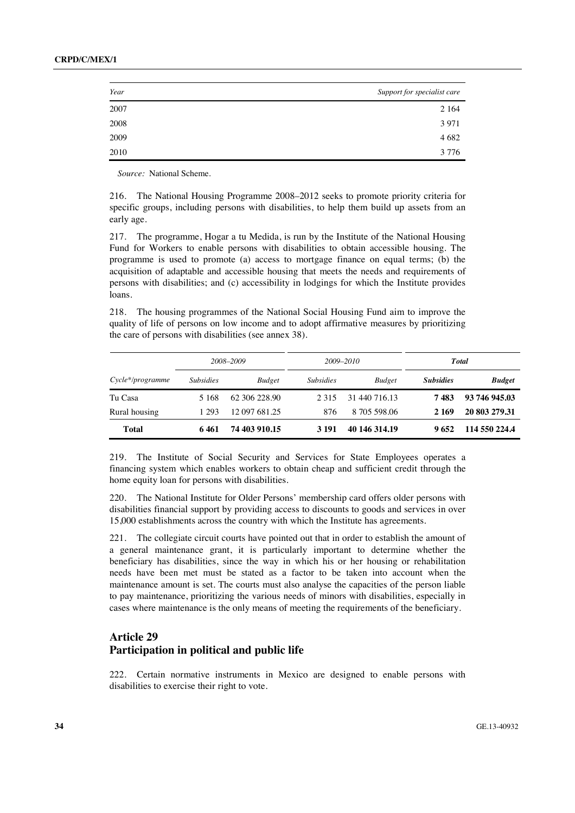| Year | Support for specialist care |
|------|-----------------------------|
| 2007 | 2 1 6 4                     |
| 2008 | 3 9 7 1                     |
| 2009 | 4 6 8 2                     |
| 2010 | 3 7 7 6                     |

*Source:* National Scheme.

216. The National Housing Programme 2008–2012 seeks to promote priority criteria for specific groups, including persons with disabilities, to help them build up assets from an early age.

217. The programme, Hogar a tu Medida, is run by the Institute of the National Housing Fund for Workers to enable persons with disabilities to obtain accessible housing. The programme is used to promote (a) access to mortgage finance on equal terms; (b) the acquisition of adaptable and accessible housing that meets the needs and requirements of persons with disabilities; and (c) accessibility in lodgings for which the Institute provides loans.

218. The housing programmes of the National Social Housing Fund aim to improve the quality of life of persons on low income and to adopt affirmative measures by prioritizing the care of persons with disabilities (see annex 38).

|                    |                  | 2008-2009     |                  | 2009-2010     |                  | <b>T</b> otal |
|--------------------|------------------|---------------|------------------|---------------|------------------|---------------|
| $Cycle*/programme$ | <i>Subsidies</i> | <b>Budget</b> | <b>Subsidies</b> | <b>Budget</b> | <b>Subsidies</b> | <b>Budget</b> |
| Tu Casa            | 5 1 6 8          | 62.306.228.90 | 2 3 1 5          | 31 440 716.13 | 7483             | 93 746 945.03 |
| Rural housing      | 1 293            | 12 097 681.25 | 876              | 8 705 598.06  | 2 1 6 9          | 20 803 279 31 |
| <b>Total</b>       | 6461             | 74 403 910.15 | 3 1 9 1          | 40 146 314.19 | 9652             | 114 550 224.4 |

219. The Institute of Social Security and Services for State Employees operates a financing system which enables workers to obtain cheap and sufficient credit through the home equity loan for persons with disabilities.

220. The National Institute for Older Persons' membership card offers older persons with disabilities financial support by providing access to discounts to goods and services in over 15,000 establishments across the country with which the Institute has agreements.

221. The collegiate circuit courts have pointed out that in order to establish the amount of a general maintenance grant, it is particularly important to determine whether the beneficiary has disabilities, since the way in which his or her housing or rehabilitation needs have been met must be stated as a factor to be taken into account when the maintenance amount is set. The courts must also analyse the capacities of the person liable to pay maintenance, prioritizing the various needs of minors with disabilities, especially in cases where maintenance is the only means of meeting the requirements of the beneficiary.

### **Article 29 Participation in political and public life**

222. Certain normative instruments in Mexico are designed to enable persons with disabilities to exercise their right to vote.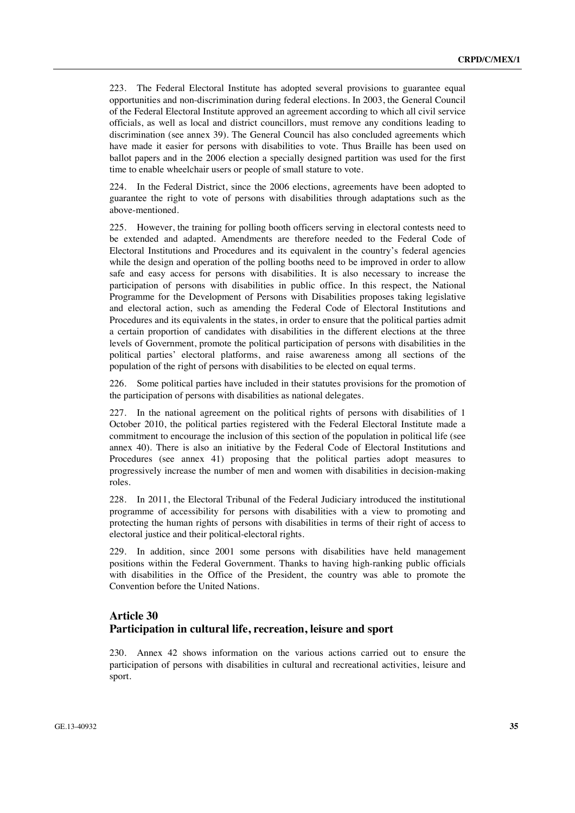223. The Federal Electoral Institute has adopted several provisions to guarantee equal opportunities and non-discrimination during federal elections. In 2003, the General Council of the Federal Electoral Institute approved an agreement according to which all civil service officials, as well as local and district councillors, must remove any conditions leading to discrimination (see annex 39). The General Council has also concluded agreements which have made it easier for persons with disabilities to vote. Thus Braille has been used on ballot papers and in the 2006 election a specially designed partition was used for the first time to enable wheelchair users or people of small stature to vote.

224. In the Federal District, since the 2006 elections, agreements have been adopted to guarantee the right to vote of persons with disabilities through adaptations such as the above-mentioned.

225. However, the training for polling booth officers serving in electoral contests need to be extended and adapted. Amendments are therefore needed to the Federal Code of Electoral Institutions and Procedures and its equivalent in the country's federal agencies while the design and operation of the polling booths need to be improved in order to allow safe and easy access for persons with disabilities. It is also necessary to increase the participation of persons with disabilities in public office. In this respect, the National Programme for the Development of Persons with Disabilities proposes taking legislative and electoral action, such as amending the Federal Code of Electoral Institutions and Procedures and its equivalents in the states, in order to ensure that the political parties admit a certain proportion of candidates with disabilities in the different elections at the three levels of Government, promote the political participation of persons with disabilities in the political parties' electoral platforms, and raise awareness among all sections of the population of the right of persons with disabilities to be elected on equal terms.

226. Some political parties have included in their statutes provisions for the promotion of the participation of persons with disabilities as national delegates.

227. In the national agreement on the political rights of persons with disabilities of 1 October 2010, the political parties registered with the Federal Electoral Institute made a commitment to encourage the inclusion of this section of the population in political life (see annex 40). There is also an initiative by the Federal Code of Electoral Institutions and Procedures (see annex 41) proposing that the political parties adopt measures to progressively increase the number of men and women with disabilities in decision-making roles.

228. In 2011, the Electoral Tribunal of the Federal Judiciary introduced the institutional programme of accessibility for persons with disabilities with a view to promoting and protecting the human rights of persons with disabilities in terms of their right of access to electoral justice and their political-electoral rights.

229. In addition, since 2001 some persons with disabilities have held management positions within the Federal Government. Thanks to having high-ranking public officials with disabilities in the Office of the President, the country was able to promote the Convention before the United Nations.

### **Article 30 Participation in cultural life, recreation, leisure and sport**

230. Annex 42 shows information on the various actions carried out to ensure the participation of persons with disabilities in cultural and recreational activities, leisure and sport.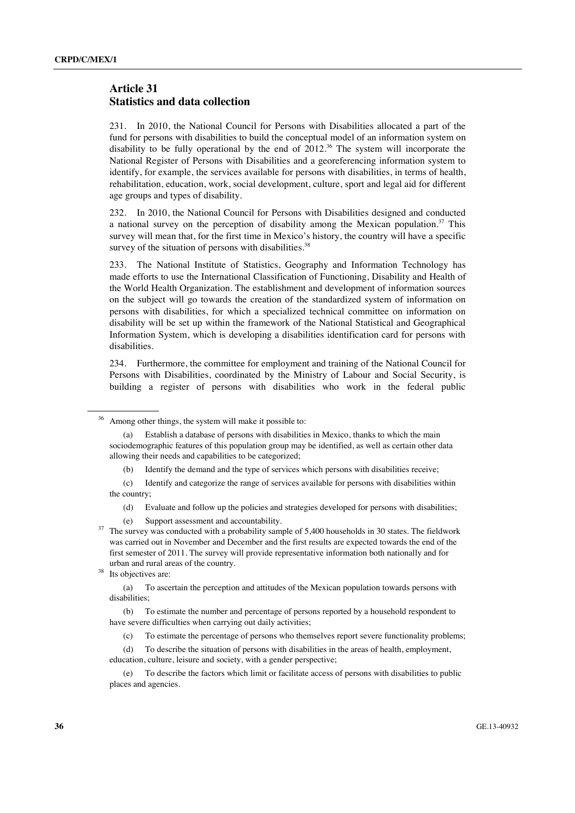### **Article 31 Statistics and data collection**

231. In 2010, the National Council for Persons with Disabilities allocated a part of the fund for persons with disabilities to build the conceptual model of an information system on disability to be fully operational by the end of  $2012<sup>36</sup>$  The system will incorporate the National Register of Persons with Disabilities and a georeferencing information system to identify, for example, the services available for persons with disabilities, in terms of health, rehabilitation, education, work, social development, culture, sport and legal aid for different age groups and types of disability.

232. In 2010, the National Council for Persons with Disabilities designed and conducted a national survey on the perception of disability among the Mexican population.<sup>37</sup> This survey will mean that, for the first time in Mexico's history, the country will have a specific survey of the situation of persons with disabilities. $38$ 

233. The National Institute of Statistics, Geography and Information Technology has made efforts to use the International Classification of Functioning, Disability and Health of the World Health Organization. The establishment and development of information sources on the subject will go towards the creation of the standardized system of information on persons with disabilities, for which a specialized technical committee on information on disability will be set up within the framework of the National Statistical and Geographical Information System, which is developing a disabilities identification card for persons with disabilities.

234. Furthermore, the committee for employment and training of the National Council for Persons with Disabilities, coordinated by the Ministry of Labour and Social Security, is building a register of persons with disabilities who work in the federal public

Among other things, the system will make it possible to:

 <sup>(</sup>a) Establish a database of persons with disabilities in Mexico, thanks to which the main sociodemographic features of this population group may be identified, as well as certain other data allowing their needs and capabilities to be categorized;

 <sup>(</sup>b) Identify the demand and the type of services which persons with disabilities receive;

 <sup>(</sup>c) Identify and categorize the range of services available for persons with disabilities within the country;

 <sup>(</sup>d) Evaluate and follow up the policies and strategies developed for persons with disabilities;

 <sup>(</sup>e) Support assessment and accountability. 37 The survey was conducted with a probability sample of 5,400 households in 30 states. The fieldwork was carried out in November and December and the first results are expected towards the end of the first semester of 2011. The survey will provide representative information both nationally and for urban and rural areas of the country.<br>Its objectives are:

 <sup>(</sup>a) To ascertain the perception and attitudes of the Mexican population towards persons with disabilities;

 <sup>(</sup>b) To estimate the number and percentage of persons reported by a household respondent to have severe difficulties when carrying out daily activities;

 <sup>(</sup>c) To estimate the percentage of persons who themselves report severe functionality problems;

 <sup>(</sup>d) To describe the situation of persons with disabilities in the areas of health, employment, education, culture, leisure and society, with a gender perspective;

 <sup>(</sup>e) To describe the factors which limit or facilitate access of persons with disabilities to public places and agencies.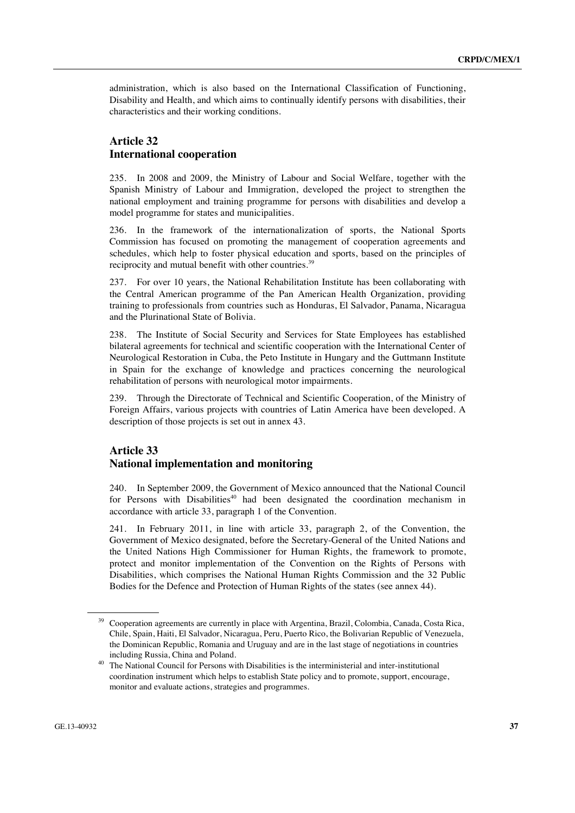administration, which is also based on the International Classification of Functioning, Disability and Health, and which aims to continually identify persons with disabilities, their characteristics and their working conditions.

### **Article 32 International cooperation**

235. In 2008 and 2009, the Ministry of Labour and Social Welfare, together with the Spanish Ministry of Labour and Immigration, developed the project to strengthen the national employment and training programme for persons with disabilities and develop a model programme for states and municipalities.

236. In the framework of the internationalization of sports, the National Sports Commission has focused on promoting the management of cooperation agreements and schedules, which help to foster physical education and sports, based on the principles of reciprocity and mutual benefit with other countries.<sup>39</sup>

237. For over 10 years, the National Rehabilitation Institute has been collaborating with the Central American programme of the Pan American Health Organization, providing training to professionals from countries such as Honduras, El Salvador, Panama, Nicaragua and the Plurinational State of Bolivia.

238. The Institute of Social Security and Services for State Employees has established bilateral agreements for technical and scientific cooperation with the International Center of Neurological Restoration in Cuba, the Peto Institute in Hungary and the Guttmann Institute in Spain for the exchange of knowledge and practices concerning the neurological rehabilitation of persons with neurological motor impairments.

239. Through the Directorate of Technical and Scientific Cooperation, of the Ministry of Foreign Affairs, various projects with countries of Latin America have been developed. A description of those projects is set out in annex 43.

### **Article 33 National implementation and monitoring**

240. In September 2009, the Government of Mexico announced that the National Council for Persons with Disabilities<sup>40</sup> had been designated the coordination mechanism in accordance with article 33, paragraph 1 of the Convention.

241. In February 2011, in line with article 33, paragraph 2, of the Convention, the Government of Mexico designated, before the Secretary-General of the United Nations and the United Nations High Commissioner for Human Rights, the framework to promote, protect and monitor implementation of the Convention on the Rights of Persons with Disabilities, which comprises the National Human Rights Commission and the 32 Public Bodies for the Defence and Protection of Human Rights of the states (see annex 44).

<sup>&</sup>lt;sup>39</sup> Cooperation agreements are currently in place with Argentina, Brazil, Colombia, Canada, Costa Rica, Chile, Spain, Haiti, El Salvador, Nicaragua, Peru, Puerto Rico, the Bolivarian Republic of Venezuela, the Dominican Republic, Romania and Uruguay and are in the last stage of negotiations in countries

including Russia, China and Poland.<br><sup>40</sup> The National Council for Persons with Disabilities is the interministerial and inter-institutional coordination instrument which helps to establish State policy and to promote, support, encourage, monitor and evaluate actions, strategies and programmes.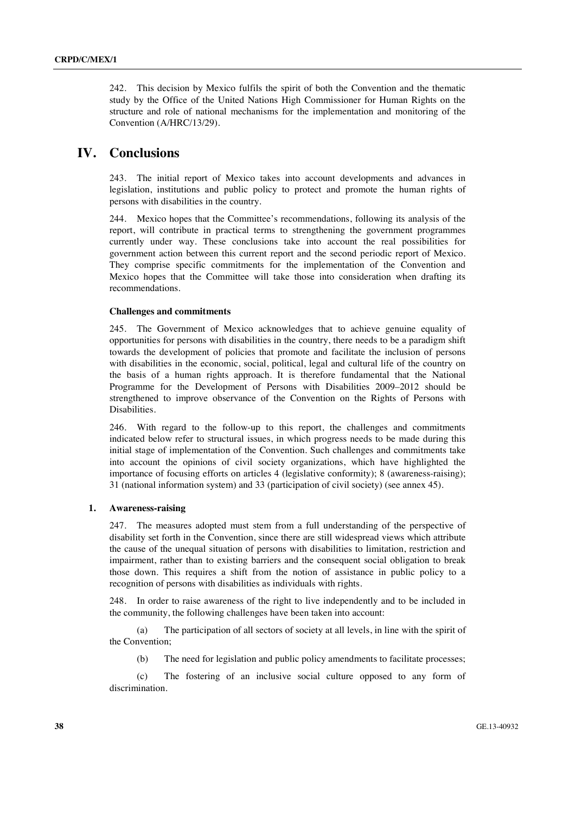242. This decision by Mexico fulfils the spirit of both the Convention and the thematic study by the Office of the United Nations High Commissioner for Human Rights on the structure and role of national mechanisms for the implementation and monitoring of the Convention (A/HRC/13/29).

# **IV. Conclusions**

243. The initial report of Mexico takes into account developments and advances in legislation, institutions and public policy to protect and promote the human rights of persons with disabilities in the country.

244. Mexico hopes that the Committee's recommendations, following its analysis of the report, will contribute in practical terms to strengthening the government programmes currently under way. These conclusions take into account the real possibilities for government action between this current report and the second periodic report of Mexico. They comprise specific commitments for the implementation of the Convention and Mexico hopes that the Committee will take those into consideration when drafting its recommendations.

#### **Challenges and commitments**

245. The Government of Mexico acknowledges that to achieve genuine equality of opportunities for persons with disabilities in the country, there needs to be a paradigm shift towards the development of policies that promote and facilitate the inclusion of persons with disabilities in the economic, social, political, legal and cultural life of the country on the basis of a human rights approach. It is therefore fundamental that the National Programme for the Development of Persons with Disabilities 2009–2012 should be strengthened to improve observance of the Convention on the Rights of Persons with Disabilities.

246. With regard to the follow-up to this report, the challenges and commitments indicated below refer to structural issues, in which progress needs to be made during this initial stage of implementation of the Convention. Such challenges and commitments take into account the opinions of civil society organizations, which have highlighted the importance of focusing efforts on articles 4 (legislative conformity); 8 (awareness-raising); 31 (national information system) and 33 (participation of civil society) (see annex 45).

#### **1. Awareness-raising**

247. The measures adopted must stem from a full understanding of the perspective of disability set forth in the Convention, since there are still widespread views which attribute the cause of the unequal situation of persons with disabilities to limitation, restriction and impairment, rather than to existing barriers and the consequent social obligation to break those down. This requires a shift from the notion of assistance in public policy to a recognition of persons with disabilities as individuals with rights.

248. In order to raise awareness of the right to live independently and to be included in the community, the following challenges have been taken into account:

 (a) The participation of all sectors of society at all levels, in line with the spirit of the Convention;

(b) The need for legislation and public policy amendments to facilitate processes;

 (c) The fostering of an inclusive social culture opposed to any form of discrimination.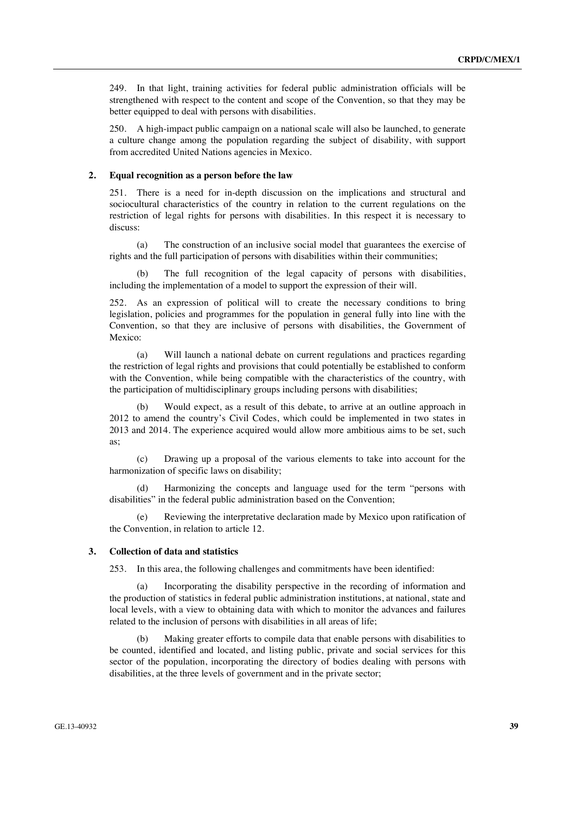249. In that light, training activities for federal public administration officials will be strengthened with respect to the content and scope of the Convention, so that they may be better equipped to deal with persons with disabilities.

250. A high-impact public campaign on a national scale will also be launched, to generate a culture change among the population regarding the subject of disability, with support from accredited United Nations agencies in Mexico.

#### **2. Equal recognition as a person before the law**

251. There is a need for in-depth discussion on the implications and structural and sociocultural characteristics of the country in relation to the current regulations on the restriction of legal rights for persons with disabilities. In this respect it is necessary to discuss:

 (a) The construction of an inclusive social model that guarantees the exercise of rights and the full participation of persons with disabilities within their communities;

The full recognition of the legal capacity of persons with disabilities, including the implementation of a model to support the expression of their will.

252. As an expression of political will to create the necessary conditions to bring legislation, policies and programmes for the population in general fully into line with the Convention, so that they are inclusive of persons with disabilities, the Government of Mexico:

 (a) Will launch a national debate on current regulations and practices regarding the restriction of legal rights and provisions that could potentially be established to conform with the Convention, while being compatible with the characteristics of the country, with the participation of multidisciplinary groups including persons with disabilities;

 (b) Would expect, as a result of this debate, to arrive at an outline approach in 2012 to amend the country's Civil Codes, which could be implemented in two states in 2013 and 2014. The experience acquired would allow more ambitious aims to be set, such as;

 (c) Drawing up a proposal of the various elements to take into account for the harmonization of specific laws on disability;

 (d) Harmonizing the concepts and language used for the term "persons with disabilities" in the federal public administration based on the Convention;

Reviewing the interpretative declaration made by Mexico upon ratification of the Convention, in relation to article 12.

#### **3. Collection of data and statistics**

253. In this area, the following challenges and commitments have been identified:

 (a) Incorporating the disability perspective in the recording of information and the production of statistics in federal public administration institutions, at national, state and local levels, with a view to obtaining data with which to monitor the advances and failures related to the inclusion of persons with disabilities in all areas of life;

Making greater efforts to compile data that enable persons with disabilities to be counted, identified and located, and listing public, private and social services for this sector of the population, incorporating the directory of bodies dealing with persons with disabilities, at the three levels of government and in the private sector;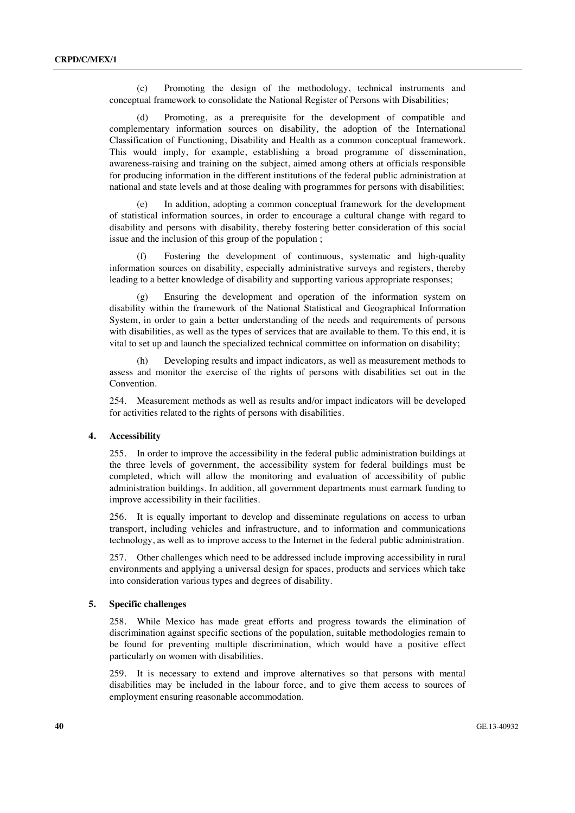(c) Promoting the design of the methodology, technical instruments and conceptual framework to consolidate the National Register of Persons with Disabilities;

 (d) Promoting, as a prerequisite for the development of compatible and complementary information sources on disability, the adoption of the International Classification of Functioning, Disability and Health as a common conceptual framework. This would imply, for example, establishing a broad programme of dissemination, awareness-raising and training on the subject, aimed among others at officials responsible for producing information in the different institutions of the federal public administration at national and state levels and at those dealing with programmes for persons with disabilities;

 (e) In addition, adopting a common conceptual framework for the development of statistical information sources, in order to encourage a cultural change with regard to disability and persons with disability, thereby fostering better consideration of this social issue and the inclusion of this group of the population ;

 (f) Fostering the development of continuous, systematic and high-quality information sources on disability, especially administrative surveys and registers, thereby leading to a better knowledge of disability and supporting various appropriate responses;

Ensuring the development and operation of the information system on disability within the framework of the National Statistical and Geographical Information System, in order to gain a better understanding of the needs and requirements of persons with disabilities, as well as the types of services that are available to them. To this end, it is vital to set up and launch the specialized technical committee on information on disability;

 (h) Developing results and impact indicators, as well as measurement methods to assess and monitor the exercise of the rights of persons with disabilities set out in the **Convention** 

254. Measurement methods as well as results and/or impact indicators will be developed for activities related to the rights of persons with disabilities.

#### **4. Accessibility**

255. In order to improve the accessibility in the federal public administration buildings at the three levels of government, the accessibility system for federal buildings must be completed, which will allow the monitoring and evaluation of accessibility of public administration buildings. In addition, all government departments must earmark funding to improve accessibility in their facilities.

256. It is equally important to develop and disseminate regulations on access to urban transport, including vehicles and infrastructure, and to information and communications technology, as well as to improve access to the Internet in the federal public administration.

257. Other challenges which need to be addressed include improving accessibility in rural environments and applying a universal design for spaces, products and services which take into consideration various types and degrees of disability.

#### **5. Specific challenges**

258. While Mexico has made great efforts and progress towards the elimination of discrimination against specific sections of the population, suitable methodologies remain to be found for preventing multiple discrimination, which would have a positive effect particularly on women with disabilities.

259. It is necessary to extend and improve alternatives so that persons with mental disabilities may be included in the labour force, and to give them access to sources of employment ensuring reasonable accommodation.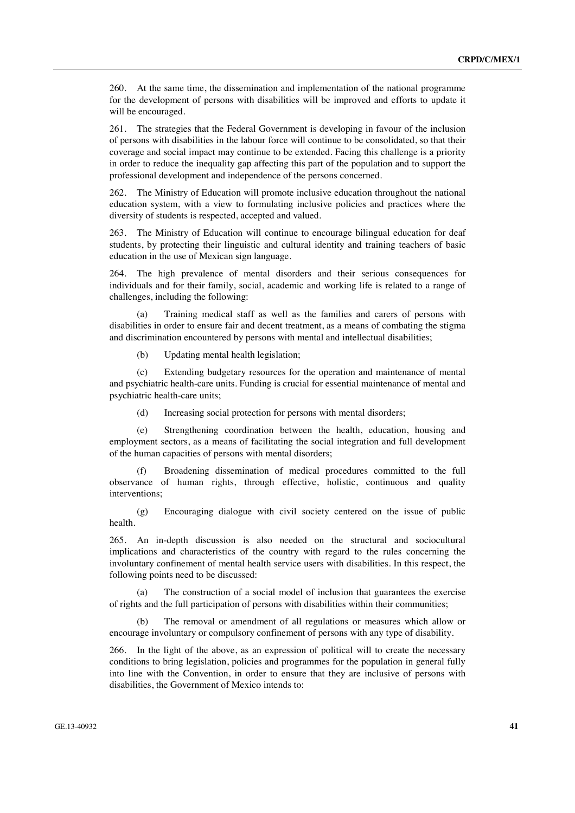260. At the same time, the dissemination and implementation of the national programme for the development of persons with disabilities will be improved and efforts to update it will be encouraged.

261. The strategies that the Federal Government is developing in favour of the inclusion of persons with disabilities in the labour force will continue to be consolidated, so that their coverage and social impact may continue to be extended. Facing this challenge is a priority in order to reduce the inequality gap affecting this part of the population and to support the professional development and independence of the persons concerned.

262. The Ministry of Education will promote inclusive education throughout the national education system, with a view to formulating inclusive policies and practices where the diversity of students is respected, accepted and valued.

263. The Ministry of Education will continue to encourage bilingual education for deaf students, by protecting their linguistic and cultural identity and training teachers of basic education in the use of Mexican sign language.

264. The high prevalence of mental disorders and their serious consequences for individuals and for their family, social, academic and working life is related to a range of challenges, including the following:

 (a) Training medical staff as well as the families and carers of persons with disabilities in order to ensure fair and decent treatment, as a means of combating the stigma and discrimination encountered by persons with mental and intellectual disabilities;

(b) Updating mental health legislation;

 (c) Extending budgetary resources for the operation and maintenance of mental and psychiatric health-care units. Funding is crucial for essential maintenance of mental and psychiatric health-care units;

(d) Increasing social protection for persons with mental disorders;

 (e) Strengthening coordination between the health, education, housing and employment sectors, as a means of facilitating the social integration and full development of the human capacities of persons with mental disorders;

 (f) Broadening dissemination of medical procedures committed to the full observance of human rights, through effective, holistic, continuous and quality interventions;

 (g) Encouraging dialogue with civil society centered on the issue of public health.

265. An in-depth discussion is also needed on the structural and sociocultural implications and characteristics of the country with regard to the rules concerning the involuntary confinement of mental health service users with disabilities. In this respect, the following points need to be discussed:

 (a) The construction of a social model of inclusion that guarantees the exercise of rights and the full participation of persons with disabilities within their communities;

The removal or amendment of all regulations or measures which allow or encourage involuntary or compulsory confinement of persons with any type of disability.

266. In the light of the above, as an expression of political will to create the necessary conditions to bring legislation, policies and programmes for the population in general fully into line with the Convention, in order to ensure that they are inclusive of persons with disabilities, the Government of Mexico intends to: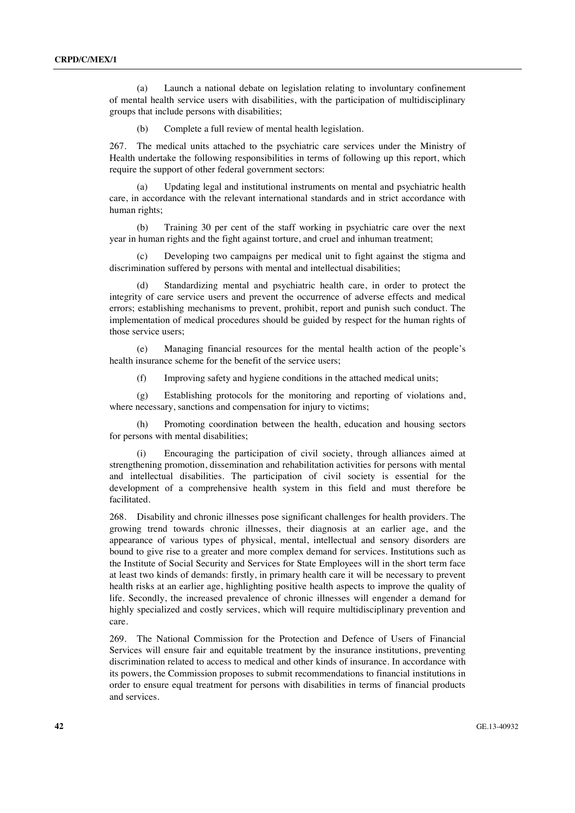(a) Launch a national debate on legislation relating to involuntary confinement of mental health service users with disabilities, with the participation of multidisciplinary groups that include persons with disabilities;

(b) Complete a full review of mental health legislation.

267. The medical units attached to the psychiatric care services under the Ministry of Health undertake the following responsibilities in terms of following up this report, which require the support of other federal government sectors:

 (a) Updating legal and institutional instruments on mental and psychiatric health care, in accordance with the relevant international standards and in strict accordance with human rights;

 (b) Training 30 per cent of the staff working in psychiatric care over the next year in human rights and the fight against torture, and cruel and inhuman treatment;

 (c) Developing two campaigns per medical unit to fight against the stigma and discrimination suffered by persons with mental and intellectual disabilities;

 (d) Standardizing mental and psychiatric health care, in order to protect the integrity of care service users and prevent the occurrence of adverse effects and medical errors; establishing mechanisms to prevent, prohibit, report and punish such conduct. The implementation of medical procedures should be guided by respect for the human rights of those service users;

 (e) Managing financial resources for the mental health action of the people's health insurance scheme for the benefit of the service users;

(f) Improving safety and hygiene conditions in the attached medical units;

 (g) Establishing protocols for the monitoring and reporting of violations and, where necessary, sanctions and compensation for injury to victims;

 (h) Promoting coordination between the health, education and housing sectors for persons with mental disabilities;

Encouraging the participation of civil society, through alliances aimed at strengthening promotion, dissemination and rehabilitation activities for persons with mental and intellectual disabilities. The participation of civil society is essential for the development of a comprehensive health system in this field and must therefore be facilitated.

268. Disability and chronic illnesses pose significant challenges for health providers. The growing trend towards chronic illnesses, their diagnosis at an earlier age, and the appearance of various types of physical, mental, intellectual and sensory disorders are bound to give rise to a greater and more complex demand for services. Institutions such as the Institute of Social Security and Services for State Employees will in the short term face at least two kinds of demands: firstly, in primary health care it will be necessary to prevent health risks at an earlier age, highlighting positive health aspects to improve the quality of life. Secondly, the increased prevalence of chronic illnesses will engender a demand for highly specialized and costly services, which will require multidisciplinary prevention and care.

269. The National Commission for the Protection and Defence of Users of Financial Services will ensure fair and equitable treatment by the insurance institutions, preventing discrimination related to access to medical and other kinds of insurance. In accordance with its powers, the Commission proposes to submit recommendations to financial institutions in order to ensure equal treatment for persons with disabilities in terms of financial products and services.